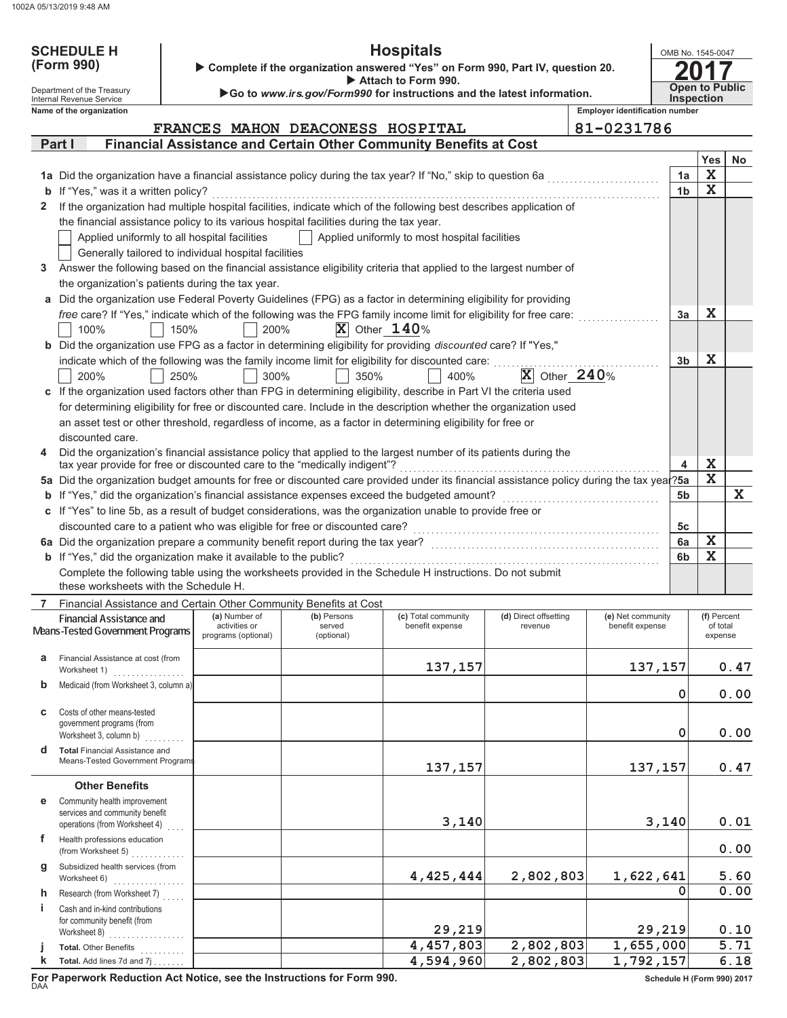| <b>SCHEDULE H</b>                                                                            |                                                                                                                                                                                               |      | <b>Hospitals</b><br>OMB No. 1545-0047                |                                                                        |                                               |                                  |                                       |                       |                    |  |
|----------------------------------------------------------------------------------------------|-----------------------------------------------------------------------------------------------------------------------------------------------------------------------------------------------|------|------------------------------------------------------|------------------------------------------------------------------------|-----------------------------------------------|----------------------------------|---------------------------------------|-----------------------|--------------------|--|
| (Form 990)<br>Complete if the organization answered "Yes" on Form 990, Part IV, question 20. |                                                                                                                                                                                               |      |                                                      |                                                                        |                                               |                                  |                                       |                       |                    |  |
|                                                                                              | Department of the Treasury                                                                                                                                                                    |      |                                                      |                                                                        | Attach to Form 990.                           |                                  |                                       | <b>Open to Public</b> |                    |  |
|                                                                                              | Internal Revenue Service                                                                                                                                                                      |      |                                                      | Go to www.irs.gov/Form990 for instructions and the latest information. |                                               |                                  | <b>Employer identification number</b> | <b>Inspection</b>     |                    |  |
|                                                                                              | Name of the organization                                                                                                                                                                      |      |                                                      | FRANCES MAHON DEACONESS HOSPITAL                                       |                                               |                                  | 81-0231786                            |                       |                    |  |
|                                                                                              | Part I                                                                                                                                                                                        |      |                                                      | Financial Assistance and Certain Other Community Benefits at Cost      |                                               |                                  |                                       |                       |                    |  |
|                                                                                              |                                                                                                                                                                                               |      |                                                      |                                                                        |                                               |                                  |                                       | <b>Yes</b>            | <b>No</b>          |  |
|                                                                                              | 1a Did the organization have a financial assistance policy during the tax year? If "No," skip to question 6a                                                                                  |      |                                                      |                                                                        |                                               |                                  | 1a                                    | X                     |                    |  |
|                                                                                              | <b>b</b> If "Yes," was it a written policy?                                                                                                                                                   |      |                                                      |                                                                        |                                               |                                  | 1 <sub>b</sub>                        | $\mathbf X$           |                    |  |
|                                                                                              | If the organization had multiple hospital facilities, indicate which of the following best describes application of                                                                           |      |                                                      |                                                                        |                                               |                                  |                                       |                       |                    |  |
|                                                                                              | the financial assistance policy to its various hospital facilities during the tax year.                                                                                                       |      |                                                      |                                                                        |                                               |                                  |                                       |                       |                    |  |
|                                                                                              | Applied uniformly to all hospital facilities                                                                                                                                                  |      |                                                      |                                                                        | Applied uniformly to most hospital facilities |                                  |                                       |                       |                    |  |
|                                                                                              |                                                                                                                                                                                               |      | Generally tailored to individual hospital facilities |                                                                        |                                               |                                  |                                       |                       |                    |  |
| 3                                                                                            | Answer the following based on the financial assistance eligibility criteria that applied to the largest number of<br>the organization's patients during the tax year.                         |      |                                                      |                                                                        |                                               |                                  |                                       |                       |                    |  |
|                                                                                              | a Did the organization use Federal Poverty Guidelines (FPG) as a factor in determining eligibility for providing                                                                              |      |                                                      |                                                                        |                                               |                                  |                                       |                       |                    |  |
|                                                                                              | free care? If "Yes," indicate which of the following was the FPG family income limit for eligibility for free care:                                                                           |      |                                                      |                                                                        |                                               |                                  | 3a                                    | $\mathbf x$           |                    |  |
|                                                                                              | 100%                                                                                                                                                                                          | 150% | 200%                                                 | $\overline{X}$ Other 140%                                              |                                               |                                  |                                       |                       |                    |  |
|                                                                                              | b Did the organization use FPG as a factor in determining eligibility for providing discounted care? If "Yes,"                                                                                |      |                                                      |                                                                        |                                               |                                  |                                       |                       |                    |  |
|                                                                                              | indicate which of the following was the family income limit for eligibility for discounted care:                                                                                              |      |                                                      |                                                                        |                                               |                                  | 3 <sub>b</sub>                        | $\mathbf x$           |                    |  |
|                                                                                              | 200%                                                                                                                                                                                          | 250% | 300%                                                 | 350%                                                                   | 400%                                          | $ X $ Other $240%$               |                                       |                       |                    |  |
|                                                                                              | c If the organization used factors other than FPG in determining eligibility, describe in Part VI the criteria used                                                                           |      |                                                      |                                                                        |                                               |                                  |                                       |                       |                    |  |
|                                                                                              | for determining eligibility for free or discounted care. Include in the description whether the organization used                                                                             |      |                                                      |                                                                        |                                               |                                  |                                       |                       |                    |  |
|                                                                                              | an asset test or other threshold, regardless of income, as a factor in determining eligibility for free or                                                                                    |      |                                                      |                                                                        |                                               |                                  |                                       |                       |                    |  |
|                                                                                              | discounted care.                                                                                                                                                                              |      |                                                      |                                                                        |                                               |                                  |                                       |                       |                    |  |
|                                                                                              | Did the organization's financial assistance policy that applied to the largest number of its patients during the<br>tax year provide for free or discounted care to the "medically indigent"? |      |                                                      |                                                                        |                                               |                                  | 4                                     | X                     |                    |  |
|                                                                                              | 5a Did the organization budget amounts for free or discounted care provided under its financial assistance policy during the tax year?5a                                                      |      |                                                      |                                                                        |                                               |                                  |                                       | $\mathbf x$           |                    |  |
|                                                                                              | <b>b</b> If "Yes," did the organization's financial assistance expenses exceed the budgeted amount?<br>5b                                                                                     |      |                                                      |                                                                        |                                               |                                  |                                       |                       | $\mathbf{X}$       |  |
|                                                                                              | c If "Yes" to line 5b, as a result of budget considerations, was the organization unable to provide free or                                                                                   |      |                                                      |                                                                        |                                               |                                  |                                       |                       |                    |  |
|                                                                                              | discounted care to a patient who was eligible for free or discounted care?                                                                                                                    |      |                                                      |                                                                        |                                               |                                  | 5c                                    |                       |                    |  |
|                                                                                              | 6a Did the organization prepare a community benefit report during the tax year?                                                                                                               |      |                                                      |                                                                        |                                               |                                  | 6a                                    | X                     |                    |  |
|                                                                                              | b If "Yes," did the organization make it available to the public?<br>Complete the following table using the worksheets provided in the Schedule H instructions. Do not submit                 |      |                                                      |                                                                        |                                               |                                  | 6b                                    | $\mathbf x$           |                    |  |
|                                                                                              | these worksheets with the Schedule H.                                                                                                                                                         |      |                                                      |                                                                        |                                               |                                  |                                       |                       |                    |  |
|                                                                                              | Financial Assistance and Certain Other Community Benefits at Cost                                                                                                                             |      |                                                      |                                                                        |                                               |                                  |                                       |                       |                    |  |
|                                                                                              | Financial Assistance and                                                                                                                                                                      |      | (a) Number of<br>activities or                       | (b) Persons<br>served                                                  | (c) Total community<br>benefit expense        | (d) Direct offsetting<br>revenue | (e) Net community<br>benefit expense  | of total              | (f) Percent        |  |
|                                                                                              | Means-Tested Government Programs                                                                                                                                                              |      | programs (optional)                                  | (optional)                                                             |                                               |                                  |                                       | expense               |                    |  |
| a                                                                                            | Financial Assistance at cost (from                                                                                                                                                            |      |                                                      |                                                                        |                                               |                                  |                                       |                       |                    |  |
|                                                                                              | Worksheet 1)                                                                                                                                                                                  |      |                                                      |                                                                        | 137,157                                       |                                  | 137,157                               |                       | 0.47               |  |
| $\mathbf b$                                                                                  | Medicaid (from Worksheet 3, column a)                                                                                                                                                         |      |                                                      |                                                                        |                                               |                                  | 0                                     |                       | 0.00               |  |
| C                                                                                            | Costs of other means-tested                                                                                                                                                                   |      |                                                      |                                                                        |                                               |                                  |                                       |                       |                    |  |
|                                                                                              | government programs (from                                                                                                                                                                     |      |                                                      |                                                                        |                                               |                                  |                                       |                       |                    |  |
|                                                                                              | Worksheet 3, column b)                                                                                                                                                                        |      |                                                      |                                                                        |                                               |                                  | 0                                     |                       | 0.00               |  |
| d                                                                                            | <b>Total Financial Assistance and</b><br>Means-Tested Government Programs                                                                                                                     |      |                                                      |                                                                        |                                               |                                  |                                       |                       |                    |  |
|                                                                                              |                                                                                                                                                                                               |      |                                                      |                                                                        | 137,157                                       |                                  | 137,157                               |                       | 0.47               |  |
|                                                                                              | <b>Other Benefits</b>                                                                                                                                                                         |      |                                                      |                                                                        |                                               |                                  |                                       |                       |                    |  |
| е                                                                                            | Community health improvement<br>services and community benefit                                                                                                                                |      |                                                      |                                                                        |                                               |                                  |                                       |                       |                    |  |
|                                                                                              | operations (from Worksheet 4)                                                                                                                                                                 |      |                                                      |                                                                        | 3,140                                         |                                  | 3,140                                 |                       | 0.01               |  |
| f                                                                                            | Health professions education                                                                                                                                                                  |      |                                                      |                                                                        |                                               |                                  |                                       |                       | 0.00               |  |
| g                                                                                            | (from Worksheet 5) $\ldots$<br>Subsidized health services (from                                                                                                                               |      |                                                      |                                                                        |                                               |                                  |                                       |                       |                    |  |
|                                                                                              | Worksheet 6)                                                                                                                                                                                  |      |                                                      |                                                                        | 4,425,444                                     | 2,802,803                        | 1,622,641                             | 5.60                  |                    |  |
| h.                                                                                           | Research (from Worksheet 7)                                                                                                                                                                   |      |                                                      |                                                                        |                                               |                                  | 0                                     |                       | $\overline{0}$ .00 |  |
| j.                                                                                           | Cash and in-kind contributions                                                                                                                                                                |      |                                                      |                                                                        |                                               |                                  |                                       |                       |                    |  |
|                                                                                              | for community benefit (from<br>Worksheet 8)                                                                                                                                                   |      |                                                      |                                                                        | 29, 219                                       |                                  | 29,219                                |                       | 0.10               |  |
|                                                                                              | Total. Other Benefits                                                                                                                                                                         |      |                                                      |                                                                        | 4,457,803                                     | 2,802,803                        | 1,655,000                             |                       | 5.71               |  |
| k                                                                                            | Total. Add lines 7d and 7j                                                                                                                                                                    |      |                                                      |                                                                        | 4,594,960                                     | 2,802,803                        | 1,792,157                             |                       | 6.18               |  |

For Paperwork Reduction Act Notice, see the Instructions for Form 990.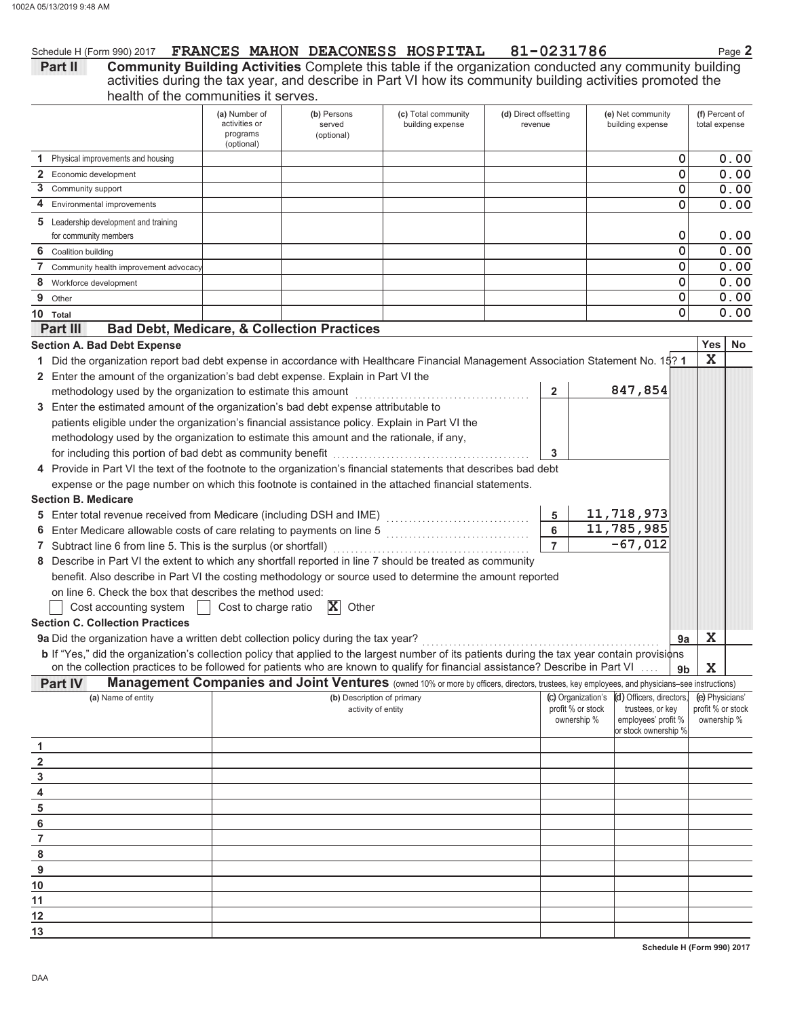### Schedule H (Form 990) 2017 FRANCES MAHON DEACONESS HOSPITAL 81-0231786

Page 2

Community Building Activities Complete this table if the organization conducted any community building<br>activities during the tax year, and describe in Part VI how its community building activities promoted the<br>health of th Part II

|                                                                   |                                                                                                                                                | (a) Number of<br>activities or<br>programs<br>(optional) | (b) Persons<br>served<br>(optional) | (c) Total community<br>building expense                                                                                                      | (d) Direct offsetting<br>revenue |                |                                  | (e) Net community<br>building expense   |                | (f) Percent of<br>total expense  |      |
|-------------------------------------------------------------------|------------------------------------------------------------------------------------------------------------------------------------------------|----------------------------------------------------------|-------------------------------------|----------------------------------------------------------------------------------------------------------------------------------------------|----------------------------------|----------------|----------------------------------|-----------------------------------------|----------------|----------------------------------|------|
|                                                                   | 1 Physical improvements and housing                                                                                                            |                                                          |                                     |                                                                                                                                              |                                  |                |                                  |                                         | 0              |                                  | 0.00 |
|                                                                   | 2 Economic development                                                                                                                         |                                                          |                                     |                                                                                                                                              |                                  |                |                                  |                                         | 0              |                                  | 0.00 |
|                                                                   | 3 Community support                                                                                                                            |                                                          |                                     |                                                                                                                                              |                                  |                |                                  |                                         | 0              |                                  | 0.00 |
| 4                                                                 | Environmental improvements                                                                                                                     |                                                          |                                     |                                                                                                                                              |                                  |                |                                  |                                         | 0              |                                  | 0.00 |
|                                                                   | <b>5</b> Leadership development and training                                                                                                   |                                                          |                                     |                                                                                                                                              |                                  |                |                                  |                                         |                |                                  |      |
|                                                                   | for community members                                                                                                                          |                                                          |                                     |                                                                                                                                              |                                  |                |                                  |                                         | 0              |                                  | 0.00 |
|                                                                   | 6 Coalition building                                                                                                                           |                                                          |                                     |                                                                                                                                              |                                  |                |                                  |                                         | 0              |                                  | 0.00 |
| 7                                                                 | Community health improvement advocacy                                                                                                          |                                                          |                                     |                                                                                                                                              |                                  |                |                                  |                                         | 0              |                                  | 0.00 |
|                                                                   | 8 Workforce development                                                                                                                        |                                                          |                                     |                                                                                                                                              |                                  |                |                                  |                                         | 0              |                                  | 0.00 |
| 9                                                                 | Other                                                                                                                                          |                                                          |                                     |                                                                                                                                              |                                  |                |                                  |                                         | 0              |                                  | 0.00 |
|                                                                   | 10 Total                                                                                                                                       |                                                          |                                     |                                                                                                                                              |                                  |                |                                  |                                         | 0              |                                  | 0.00 |
|                                                                   | <b>Bad Debt, Medicare, &amp; Collection Practices</b><br><b>Part III</b>                                                                       |                                                          |                                     |                                                                                                                                              |                                  |                |                                  |                                         |                |                                  |      |
|                                                                   | <b>Section A. Bad Debt Expense</b>                                                                                                             |                                                          |                                     |                                                                                                                                              |                                  |                |                                  |                                         |                | Yes                              | No   |
|                                                                   | 1 Did the organization report bad debt expense in accordance with Healthcare Financial Management Association Statement No. 15? 1              |                                                          |                                     |                                                                                                                                              |                                  |                |                                  |                                         |                | $\mathbf x$                      |      |
|                                                                   | 2 Enter the amount of the organization's bad debt expense. Explain in Part VI the                                                              |                                                          |                                     |                                                                                                                                              |                                  |                |                                  |                                         |                |                                  |      |
|                                                                   | methodology used by the organization to estimate this amount                                                                                   |                                                          |                                     |                                                                                                                                              |                                  | 2              |                                  | 847,854                                 |                |                                  |      |
|                                                                   | 3 Enter the estimated amount of the organization's bad debt expense attributable to                                                            |                                                          |                                     |                                                                                                                                              |                                  |                |                                  |                                         |                |                                  |      |
|                                                                   | patients eligible under the organization's financial assistance policy. Explain in Part VI the                                                 |                                                          |                                     |                                                                                                                                              |                                  |                |                                  |                                         |                |                                  |      |
|                                                                   | methodology used by the organization to estimate this amount and the rationale, if any,                                                        |                                                          |                                     |                                                                                                                                              |                                  |                |                                  |                                         |                |                                  |      |
|                                                                   |                                                                                                                                                |                                                          |                                     |                                                                                                                                              |                                  | 3              |                                  |                                         |                |                                  |      |
|                                                                   | 4 Provide in Part VI the text of the footnote to the organization's financial statements that describes bad debt                               |                                                          |                                     |                                                                                                                                              |                                  |                |                                  |                                         |                |                                  |      |
|                                                                   | expense or the page number on which this footnote is contained in the attached financial statements.                                           |                                                          |                                     |                                                                                                                                              |                                  |                |                                  |                                         |                |                                  |      |
|                                                                   | <b>Section B. Medicare</b>                                                                                                                     |                                                          |                                     |                                                                                                                                              |                                  |                |                                  |                                         |                |                                  |      |
|                                                                   |                                                                                                                                                |                                                          |                                     |                                                                                                                                              |                                  | 5              |                                  | 11,718,973                              |                |                                  |      |
|                                                                   |                                                                                                                                                |                                                          |                                     |                                                                                                                                              |                                  | 6              |                                  | 11,785,985                              |                |                                  |      |
|                                                                   | 7 Subtract line 6 from line 5. This is the surplus (or shortfall)                                                                              |                                                          |                                     |                                                                                                                                              |                                  | $\overline{7}$ |                                  | $-67,012$                               |                |                                  |      |
|                                                                   | 8 Describe in Part VI the extent to which any shortfall reported in line 7 should be treated as community                                      |                                                          |                                     |                                                                                                                                              |                                  |                |                                  |                                         |                |                                  |      |
|                                                                   | benefit. Also describe in Part VI the costing methodology or source used to determine the amount reported                                      |                                                          |                                     |                                                                                                                                              |                                  |                |                                  |                                         |                |                                  |      |
|                                                                   | on line 6. Check the box that describes the method used:                                                                                       |                                                          |                                     |                                                                                                                                              |                                  |                |                                  |                                         |                |                                  |      |
|                                                                   | Cost accounting system                                                                                                                         | Cost to charge ratio                                     | $ {\bf X} $<br>Other                |                                                                                                                                              |                                  |                |                                  |                                         |                |                                  |      |
|                                                                   | <b>Section C. Collection Practices</b>                                                                                                         |                                                          |                                     |                                                                                                                                              |                                  |                |                                  |                                         |                |                                  |      |
|                                                                   | 9a Did the organization have a written debt collection policy during the tax year?                                                             |                                                          |                                     |                                                                                                                                              |                                  |                |                                  |                                         | 9a             | X                                |      |
|                                                                   | b If "Yes," did the organization's collection policy that applied to the largest number of its patients during the tax year contain provisions |                                                          |                                     |                                                                                                                                              |                                  |                |                                  |                                         |                |                                  |      |
|                                                                   | on the collection practices to be followed for patients who are known to qualify for financial assistance? Describe in Part VI                 |                                                          |                                     |                                                                                                                                              |                                  |                |                                  |                                         | 9 <sub>b</sub> | X                                |      |
|                                                                   | Part IV                                                                                                                                        |                                                          |                                     | Management Companies and Joint Ventures (owned 10% or more by officers, directors, trustees, key employees, and physicians-see instructions) |                                  |                |                                  |                                         |                |                                  |      |
|                                                                   | (a) Name of entity                                                                                                                             |                                                          | (b) Description of primary          |                                                                                                                                              |                                  |                | (c) Organization's               | (d) Officers, directors,                |                | (e) Physicians'                  |      |
|                                                                   |                                                                                                                                                |                                                          | activity of entity                  |                                                                                                                                              |                                  |                | profit % or stock<br>ownership % | trustees, or key<br>employees' profit % |                | profit % or stock<br>ownership % |      |
|                                                                   |                                                                                                                                                |                                                          |                                     |                                                                                                                                              |                                  |                |                                  | or stock ownership %                    |                |                                  |      |
| 1                                                                 |                                                                                                                                                |                                                          |                                     |                                                                                                                                              |                                  |                |                                  |                                         |                |                                  |      |
| $\overline{2}$                                                    |                                                                                                                                                |                                                          |                                     |                                                                                                                                              |                                  |                |                                  |                                         |                |                                  |      |
|                                                                   |                                                                                                                                                |                                                          |                                     |                                                                                                                                              |                                  |                |                                  |                                         |                |                                  |      |
|                                                                   |                                                                                                                                                |                                                          |                                     |                                                                                                                                              |                                  |                |                                  |                                         |                |                                  |      |
|                                                                   |                                                                                                                                                |                                                          |                                     |                                                                                                                                              |                                  |                |                                  |                                         |                |                                  |      |
|                                                                   |                                                                                                                                                |                                                          |                                     |                                                                                                                                              |                                  |                |                                  |                                         |                |                                  |      |
|                                                                   |                                                                                                                                                |                                                          |                                     |                                                                                                                                              |                                  |                |                                  |                                         |                |                                  |      |
| $\begin{array}{r} 3 \\ 4 \\ 5 \\ 6 \\ 7 \\ 8 \\ 9 \\ \end{array}$ |                                                                                                                                                |                                                          |                                     |                                                                                                                                              |                                  |                |                                  |                                         |                |                                  |      |
|                                                                   |                                                                                                                                                |                                                          |                                     |                                                                                                                                              |                                  |                |                                  |                                         |                |                                  |      |
| 10                                                                |                                                                                                                                                |                                                          |                                     |                                                                                                                                              |                                  |                |                                  |                                         |                |                                  |      |
| 11                                                                |                                                                                                                                                |                                                          |                                     |                                                                                                                                              |                                  |                |                                  |                                         |                |                                  |      |
| 12                                                                |                                                                                                                                                |                                                          |                                     |                                                                                                                                              |                                  |                |                                  |                                         |                |                                  |      |
| 13                                                                |                                                                                                                                                |                                                          |                                     |                                                                                                                                              |                                  |                |                                  |                                         |                |                                  |      |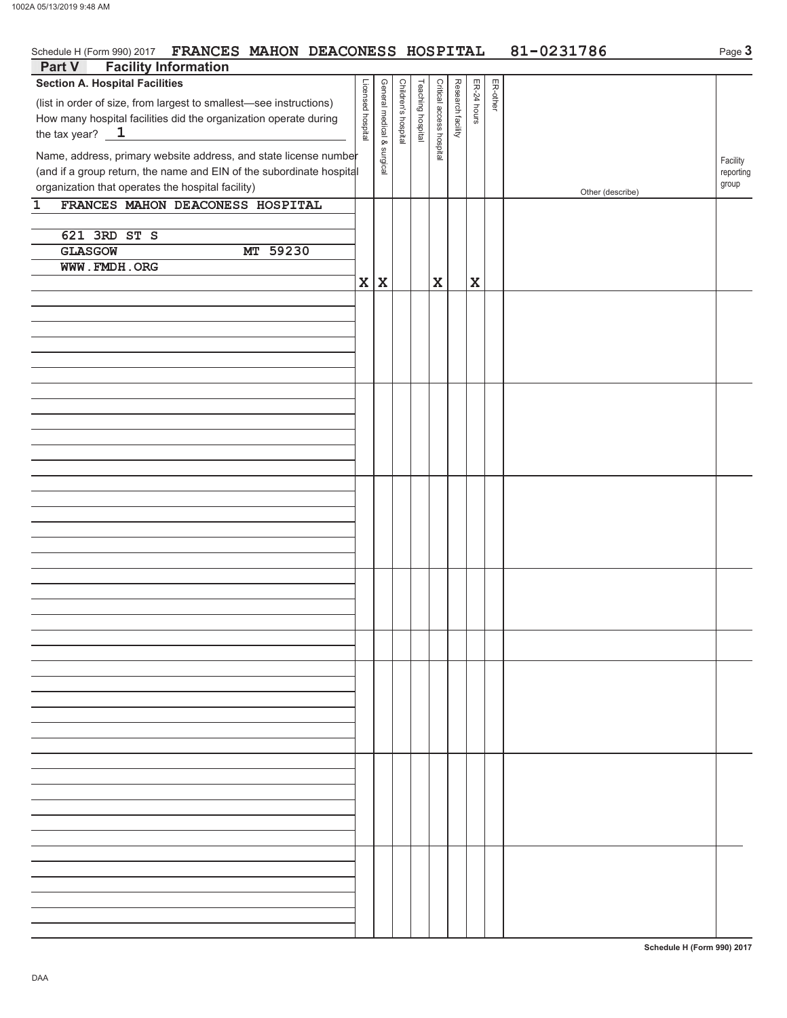| Schedule H (Form 990) 2017 FRANCES MAHON DEACONESS HOSPITAL                                                                                                                                                                                                                                                                                                                                                  |                   |                            |                     |                   |                          |                   |             | 81-0231786<br>Page 3 |                  |                                |
|--------------------------------------------------------------------------------------------------------------------------------------------------------------------------------------------------------------------------------------------------------------------------------------------------------------------------------------------------------------------------------------------------------------|-------------------|----------------------------|---------------------|-------------------|--------------------------|-------------------|-------------|----------------------|------------------|--------------------------------|
| <b>Facility Information</b><br>Part V                                                                                                                                                                                                                                                                                                                                                                        |                   |                            |                     |                   |                          |                   |             |                      |                  |                                |
| <b>Section A. Hospital Facilities</b><br>(list in order of size, from largest to smallest-see instructions)<br>How many hospital facilities did the organization operate during<br>the tax year? $\sqrt{1}$<br>Name, address, primary website address, and state license number<br>(and if a group return, the name and EIN of the subordinate hospital<br>organization that operates the hospital facility) | Licensed hospital | General medical & surgical | Children's hospital | Teaching hospital | Critical access hospital | Research facility | ER-24 hours | ER-other             |                  | Facility<br>reporting<br>group |
| FRANCES MAHON DEACONESS HOSPITAL<br>1                                                                                                                                                                                                                                                                                                                                                                        |                   |                            |                     |                   |                          |                   |             |                      | Other (describe) |                                |
| 621 3RD ST S<br>MT 59230<br><b>GLASGOW</b><br>WWW.FMDH.ORG                                                                                                                                                                                                                                                                                                                                                   | $\mathbf{x}$      | $\mathbf x$                |                     |                   | $\mathbf x$              |                   | $\mathbf x$ |                      |                  |                                |
|                                                                                                                                                                                                                                                                                                                                                                                                              |                   |                            |                     |                   |                          |                   |             |                      |                  |                                |
|                                                                                                                                                                                                                                                                                                                                                                                                              |                   |                            |                     |                   |                          |                   |             |                      |                  |                                |
|                                                                                                                                                                                                                                                                                                                                                                                                              |                   |                            |                     |                   |                          |                   |             |                      |                  |                                |
|                                                                                                                                                                                                                                                                                                                                                                                                              |                   |                            |                     |                   |                          |                   |             |                      |                  |                                |
|                                                                                                                                                                                                                                                                                                                                                                                                              |                   |                            |                     |                   |                          |                   |             |                      |                  |                                |
|                                                                                                                                                                                                                                                                                                                                                                                                              |                   |                            |                     |                   |                          |                   |             |                      |                  |                                |
|                                                                                                                                                                                                                                                                                                                                                                                                              |                   |                            |                     |                   |                          |                   |             |                      |                  |                                |
|                                                                                                                                                                                                                                                                                                                                                                                                              |                   |                            |                     |                   |                          |                   |             |                      |                  |                                |
|                                                                                                                                                                                                                                                                                                                                                                                                              |                   |                            |                     |                   |                          |                   |             |                      |                  |                                |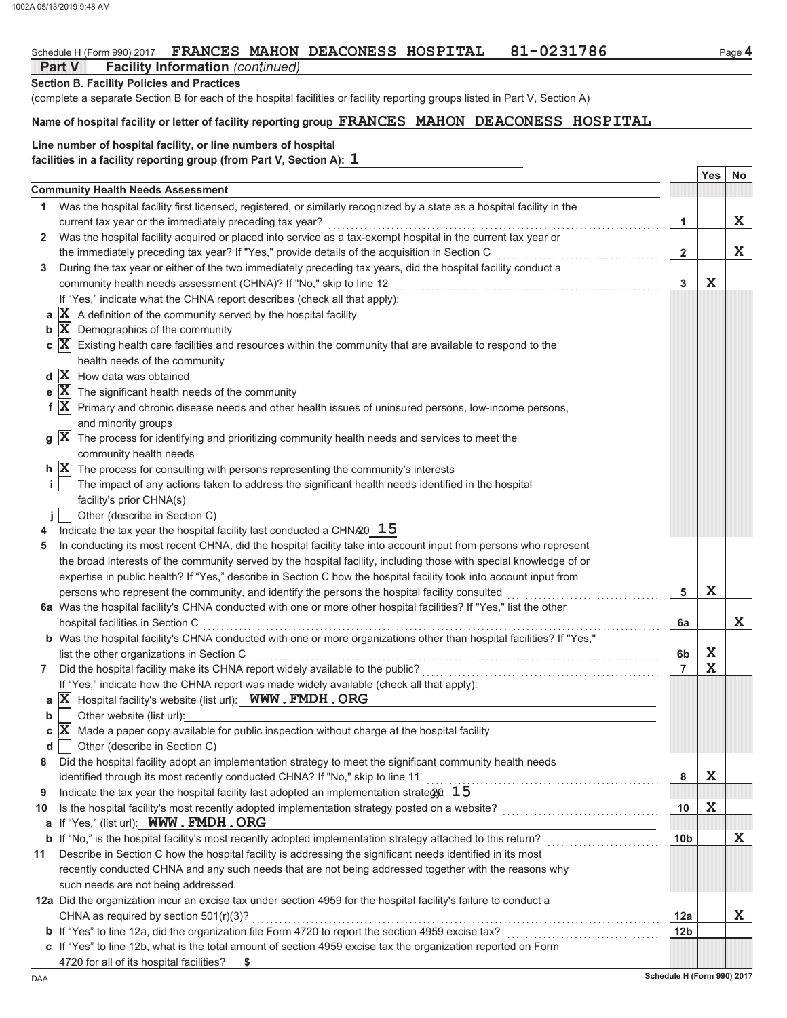### 81-0231786 Schedule H (Form 990) 2017 FRANCES MAHON DEACONESS HOSPITAL

### **Part V Facility Information (continued)**

**Section B. Facility Policies and Practices** 

(complete a separate Section B for each of the hospital facilities or facility reporting groups listed in Part V, Section A)

# Name of hospital facility or letter of facility reporting group FRANCES MAHON DEACONESS HOSPITAL

### Line number of hospital facility, or line numbers of hospital facilities in a facility reporting group (from Part V, Section A): 1

|              |                                                                                                                                     |                 | Yes         | No |
|--------------|-------------------------------------------------------------------------------------------------------------------------------------|-----------------|-------------|----|
|              | <b>Community Health Needs Assessment</b>                                                                                            |                 |             |    |
| 1.           | Was the hospital facility first licensed, registered, or similarly recognized by a state as a hospital facility in the              |                 |             |    |
|              | current tax year or the immediately preceding tax year?                                                                             | 1               |             | X  |
| $\mathbf{2}$ | Was the hospital facility acquired or placed into service as a tax-exempt hospital in the current tax year or                       |                 |             |    |
|              | the immediately preceding tax year? If "Yes," provide details of the acquisition in Section C                                       | $\mathbf{2}$    |             | X  |
| 3            | During the tax year or either of the two immediately preceding tax years, did the hospital facility conduct a                       |                 |             |    |
|              | community health needs assessment (CHNA)? If "No," skip to line 12                                                                  | 3               | X           |    |
|              | If "Yes," indicate what the CHNA report describes (check all that apply):                                                           |                 |             |    |
| a            | $ \mathbf{X} $ A definition of the community served by the hospital facility                                                        |                 |             |    |
| b            | $ \mathbf{X} $ Demographics of the community                                                                                        |                 |             |    |
|              | $\mathbf{c}$ $ \mathbf{X} $ Existing health care facilities and resources within the community that are available to respond to the |                 |             |    |
|              | health needs of the community                                                                                                       |                 |             |    |
|              | $d \overline{X}$ How data was obtained                                                                                              |                 |             |    |
|              | e $ X $ The significant health needs of the community                                                                               |                 |             |    |
|              | $f X $ Primary and chronic disease needs and other health issues of uninsured persons, low-income persons,                          |                 |             |    |
|              | and minority groups                                                                                                                 |                 |             |    |
|              | $g \ \mathbf{X}\ $ The process for identifying and prioritizing community health needs and services to meet the                     |                 |             |    |
|              | community health needs                                                                                                              |                 |             |    |
|              | $\mathbf{h}$ $ \mathbf{X} $ The process for consulting with persons representing the community's interests                          |                 |             |    |
| j.           | The impact of any actions taken to address the significant health needs identified in the hospital                                  |                 |             |    |
|              | facility's prior CHNA(s)                                                                                                            |                 |             |    |
|              | Other (describe in Section C)                                                                                                       |                 |             |    |
|              | Indicate the tax year the hospital facility last conducted a CHN $\alpha$ <sup>0</sup> 15                                           |                 |             |    |
| 5            | In conducting its most recent CHNA, did the hospital facility take into account input from persons who represent                    |                 |             |    |
|              | the broad interests of the community served by the hospital facility, including those with special knowledge of or                  |                 |             |    |
|              | expertise in public health? If "Yes," describe in Section C how the hospital facility took into account input from                  |                 |             |    |
|              | persons who represent the community, and identify the persons the hospital facility consulted                                       | 5               | X           |    |
|              | 6a Was the hospital facility's CHNA conducted with one or more other hospital facilities? If "Yes," list the other                  |                 |             |    |
|              | hospital facilities in Section C                                                                                                    | 6a              |             | X  |
|              | b Was the hospital facility's CHNA conducted with one or more organizations other than hospital facilities? If "Yes,"               |                 |             |    |
|              | list the other organizations in Section C                                                                                           | 6b              | X           |    |
| 7            | Did the hospital facility make its CHNA report widely available to the public?                                                      | $\overline{7}$  | $\mathbf x$ |    |
|              | If "Yes," indicate how the CHNA report was made widely available (check all that apply):                                            |                 |             |    |
|              | a $ X $ Hospital facility's website (list url): WWW. FMDH. ORG                                                                      |                 |             |    |
| b            | Other website (list url):                                                                                                           |                 |             |    |
| с            | $ \mathbf{X} $ Made a paper copy available for public inspection without charge at the hospital facility                            |                 |             |    |
|              | Other (describe in Section C)                                                                                                       |                 |             |    |
|              | Did the hospital facility adopt an implementation strategy to meet the significant community health needs                           |                 |             |    |
|              | identified through its most recently conducted CHNA? If "No," skip to line 11                                                       | 8               | X           |    |
| 9            | Indicate the tax year the hospital facility last adopted an implementation strate $q_0$ 15                                          |                 |             |    |
| 10           |                                                                                                                                     | 10              | X           |    |
|              | a If "Yes," (list url): WWW. FMDH. ORG                                                                                              |                 |             |    |
|              | <b>b</b> If "No," is the hospital facility's most recently adopted implementation strategy attached to this return?                 | 10b             |             | X  |
| 11           | Describe in Section C how the hospital facility is addressing the significant needs identified in its most                          |                 |             |    |
|              | recently conducted CHNA and any such needs that are not being addressed together with the reasons why                               |                 |             |    |
|              | such needs are not being addressed.                                                                                                 |                 |             |    |
|              | 12a Did the organization incur an excise tax under section 4959 for the hospital facility's failure to conduct a                    |                 |             |    |
|              | CHNA as required by section $501(r)(3)?$                                                                                            | 12a             |             | X  |
|              | b If "Yes" to line 12a, did the organization file Form 4720 to report the section 4959 excise tax?                                  | 12 <sub>b</sub> |             |    |
|              | c If "Yes" to line 12b, what is the total amount of section 4959 excise tax the organization reported on Form                       |                 |             |    |
|              | 4720 for all of its hospital facilities?<br>\$                                                                                      |                 |             |    |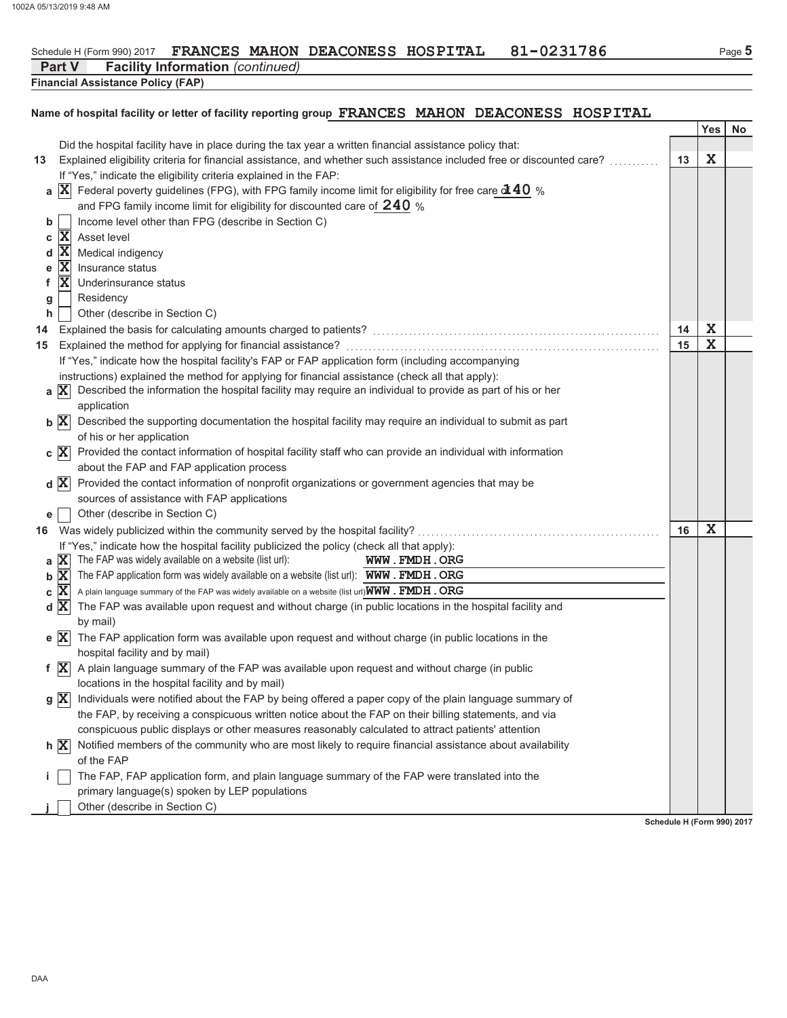### 81-0231786 Schedule H (Form 990) 2017 FRANCES MAHON DEACONESS HOSPITAL

**Part V Facility Information (continued)** 

**Financial Assistance Policy (FAP)** 

# Name of hospital facility or letter of facility reporting group FRANCES MAHON DEACONESS HOSPITAL

|    |                |                                                                                                                                                                                                                                    |    | Yes         | No |
|----|----------------|------------------------------------------------------------------------------------------------------------------------------------------------------------------------------------------------------------------------------------|----|-------------|----|
|    |                | Did the hospital facility have in place during the tax year a written financial assistance policy that:                                                                                                                            |    |             |    |
| 13 |                | Explained eligibility criteria for financial assistance, and whether such assistance included free or discounted care?                                                                                                             | 13 | X           |    |
|    |                | If "Yes," indicate the eligibility criteria explained in the FAP:                                                                                                                                                                  |    |             |    |
|    | a $ X $        | Federal poverty guidelines (FPG), with FPG family income limit for eligibility for free care of $40%$                                                                                                                              |    |             |    |
|    |                | and FPG family income limit for eligibility for discounted care of $240$ %                                                                                                                                                         |    |             |    |
| b  |                | Income level other than FPG (describe in Section C)                                                                                                                                                                                |    |             |    |
| с  | $\mathbf{x}$   | Asset level                                                                                                                                                                                                                        |    |             |    |
| d  | ΙX             | Medical indigency                                                                                                                                                                                                                  |    |             |    |
| е  | ΙX             | Insurance status                                                                                                                                                                                                                   |    |             |    |
| f. | $\mathbf{X}$   | Underinsurance status                                                                                                                                                                                                              |    |             |    |
| g  |                | Residency                                                                                                                                                                                                                          |    |             |    |
| h  |                | Other (describe in Section C)                                                                                                                                                                                                      |    |             |    |
| 14 |                | Explained the basis for calculating amounts charged to patients?<br>[2010]<br>The continuum continuum continuum control to patients and the control of the basic of the basic field of the basic field of the basic field of the b | 14 | X           |    |
| 15 |                |                                                                                                                                                                                                                                    | 15 | $\mathbf X$ |    |
|    |                | If "Yes," indicate how the hospital facility's FAP or FAP application form (including accompanying                                                                                                                                 |    |             |    |
|    |                | instructions) explained the method for applying for financial assistance (check all that apply):                                                                                                                                   |    |             |    |
|    | a $ X $        | Described the information the hospital facility may require an individual to provide as part of his or her                                                                                                                         |    |             |    |
|    |                | application                                                                                                                                                                                                                        |    |             |    |
|    | $b \mathbf{X}$ | Described the supporting documentation the hospital facility may require an individual to submit as part                                                                                                                           |    |             |    |
|    |                | of his or her application                                                                                                                                                                                                          |    |             |    |
|    | $c \mathbf{X}$ | Provided the contact information of hospital facility staff who can provide an individual with information                                                                                                                         |    |             |    |
|    |                | about the FAP and FAP application process                                                                                                                                                                                          |    |             |    |
|    | $d \mathbf{X}$ | Provided the contact information of nonprofit organizations or government agencies that may be                                                                                                                                     |    |             |    |
|    |                | sources of assistance with FAP applications                                                                                                                                                                                        |    |             |    |
| е  |                | Other (describe in Section C)                                                                                                                                                                                                      |    |             |    |
| 16 |                | Was widely publicized within the community served by the hospital facility?                                                                                                                                                        | 16 | X           |    |
|    |                | If "Yes," indicate how the hospital facility publicized the policy (check all that apply):                                                                                                                                         |    |             |    |
| a  | X              | The FAP was widely available on a website (list url):<br>WWW.FMDH.ORG                                                                                                                                                              |    |             |    |
| b  | ΙX             | The FAP application form was widely available on a website (list url): WWW. FMDH. ORG                                                                                                                                              |    |             |    |
| С  | ΙX             | A plain language summary of the FAP was widely available on a website (list url) WWW . FMDH . ORG                                                                                                                                  |    |             |    |
|    | $d \mathbf{X}$ | The FAP was available upon request and without charge (in public locations in the hospital facility and                                                                                                                            |    |             |    |
|    |                | by mail)<br>The FAP application form was available upon request and without charge (in public locations in the                                                                                                                     |    |             |    |
|    | $e \mathbf{X}$ |                                                                                                                                                                                                                                    |    |             |    |
|    | f $ X $        | hospital facility and by mail)<br>A plain language summary of the FAP was available upon request and without charge (in public                                                                                                     |    |             |    |
|    |                | locations in the hospital facility and by mail)                                                                                                                                                                                    |    |             |    |
|    |                |                                                                                                                                                                                                                                    |    |             |    |
|    |                | $g\ X\ $ Individuals were notified about the FAP by being offered a paper copy of the plain language summary of<br>the FAP, by receiving a conspicuous written notice about the FAP on their billing statements, and via           |    |             |    |
|    |                | conspicuous public displays or other measures reasonably calculated to attract patients' attention                                                                                                                                 |    |             |    |
|    | h X            | Notified members of the community who are most likely to require financial assistance about availability                                                                                                                           |    |             |    |
|    |                | of the FAP                                                                                                                                                                                                                         |    |             |    |
|    |                | The FAP, FAP application form, and plain language summary of the FAP were translated into the                                                                                                                                      |    |             |    |
|    |                | primary language(s) spoken by LEP populations                                                                                                                                                                                      |    |             |    |
|    |                | Other (describe in Section C)                                                                                                                                                                                                      |    |             |    |
|    |                |                                                                                                                                                                                                                                    |    |             |    |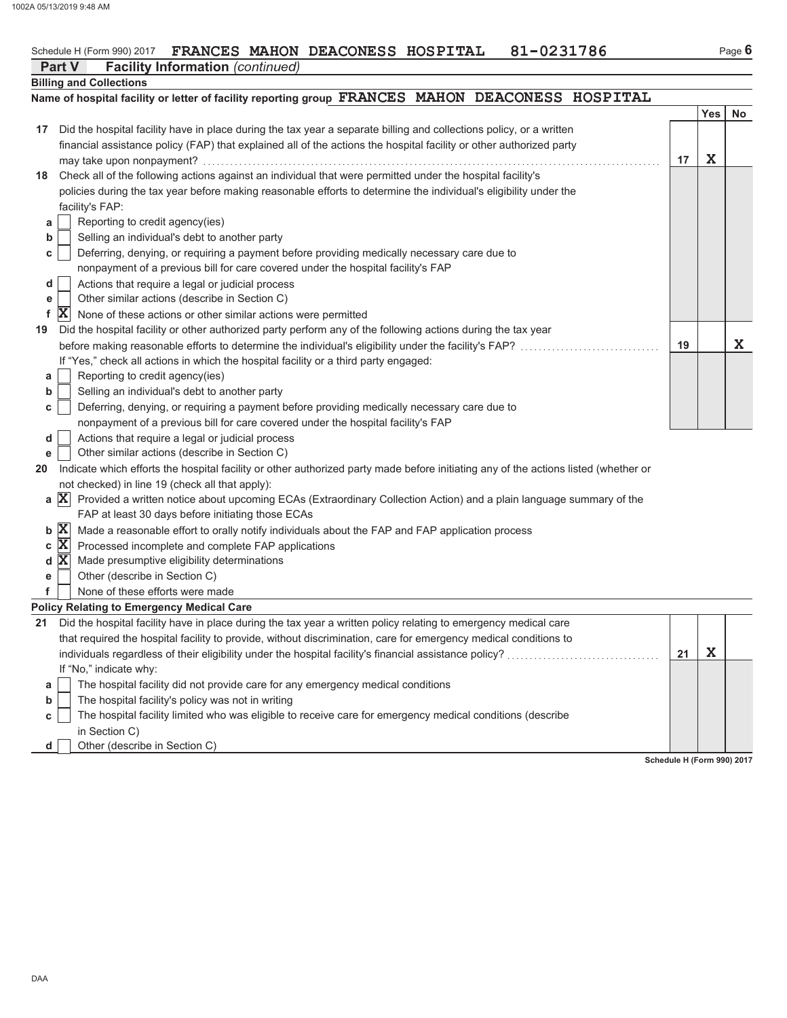#### FRANCES MAHON DEACONESS HOSPITAL 81-0231786 Schedule H (Form 990) 2017

|    | <b>Facility Information</b> (continued)<br><b>Part V</b>                                                                              |    |            |    |
|----|---------------------------------------------------------------------------------------------------------------------------------------|----|------------|----|
|    | <b>Billing and Collections</b>                                                                                                        |    |            |    |
|    | Name of hospital facility or letter of facility reporting group FRANCES MAHON DEACONESS HOSPITAL                                      |    |            |    |
|    |                                                                                                                                       |    | <b>Yes</b> | No |
| 17 | Did the hospital facility have in place during the tax year a separate billing and collections policy, or a written                   |    |            |    |
|    | financial assistance policy (FAP) that explained all of the actions the hospital facility or other authorized party                   |    |            |    |
|    |                                                                                                                                       | 17 | X          |    |
| 18 | Check all of the following actions against an individual that were permitted under the hospital facility's                            |    |            |    |
|    | policies during the tax year before making reasonable efforts to determine the individual's eligibility under the                     |    |            |    |
|    | facility's FAP:                                                                                                                       |    |            |    |
| а  | Reporting to credit agency(ies)                                                                                                       |    |            |    |
| b  | Selling an individual's debt to another party                                                                                         |    |            |    |
| с  | Deferring, denying, or requiring a payment before providing medically necessary care due to                                           |    |            |    |
|    | nonpayment of a previous bill for care covered under the hospital facility's FAP                                                      |    |            |    |
| d  | Actions that require a legal or judicial process                                                                                      |    |            |    |
| е  | Other similar actions (describe in Section C)                                                                                         |    |            |    |
| f  | $ \mathbf{X} $<br>None of these actions or other similar actions were permitted                                                       |    |            |    |
| 19 | Did the hospital facility or other authorized party perform any of the following actions during the tax year                          |    |            |    |
|    |                                                                                                                                       | 19 |            | X  |
|    | If "Yes," check all actions in which the hospital facility or a third party engaged:                                                  |    |            |    |
| а  | Reporting to credit agency(ies)                                                                                                       |    |            |    |
| b  | Selling an individual's debt to another party                                                                                         |    |            |    |
| с  | Deferring, denying, or requiring a payment before providing medically necessary care due to                                           |    |            |    |
|    | nonpayment of a previous bill for care covered under the hospital facility's FAP                                                      |    |            |    |
| d  | Actions that require a legal or judicial process                                                                                      |    |            |    |
| е  | Other similar actions (describe in Section C)                                                                                         |    |            |    |
| 20 | Indicate which efforts the hospital facility or other authorized party made before initiating any of the actions listed (whether or   |    |            |    |
|    | not checked) in line 19 (check all that apply):                                                                                       |    |            |    |
|    | $a \mathbf{X}$<br>Provided a written notice about upcoming ECAs (Extraordinary Collection Action) and a plain language summary of the |    |            |    |
|    | FAP at least 30 days before initiating those ECAs                                                                                     |    |            |    |
|    | $b \mathbf{X}$<br>Made a reasonable effort to orally notify individuals about the FAP and FAP application process                     |    |            |    |
| С  | $ \mathbf{X} $<br>Processed incomplete and complete FAP applications                                                                  |    |            |    |
|    | d X <br>Made presumptive eligibility determinations                                                                                   |    |            |    |
| е  | Other (describe in Section C)                                                                                                         |    |            |    |
| f  | None of these efforts were made                                                                                                       |    |            |    |
|    | <b>Policy Relating to Emergency Medical Care</b>                                                                                      |    |            |    |
| 21 | Did the hospital facility have in place during the tax year a written policy relating to emergency medical care                       |    |            |    |
|    | that required the hospital facility to provide, without discrimination, care for emergency medical conditions to                      |    |            |    |
|    |                                                                                                                                       | 21 | X          |    |
|    | If "No," indicate why:                                                                                                                |    |            |    |
| а  | The hospital facility did not provide care for any emergency medical conditions                                                       |    |            |    |
| b  | The hospital facility's policy was not in writing                                                                                     |    |            |    |
| с  | The hospital facility limited who was eligible to receive care for emergency medical conditions (describe                             |    |            |    |
|    | in Section C)                                                                                                                         |    |            |    |
| d  | Other (describe in Section C)                                                                                                         |    |            |    |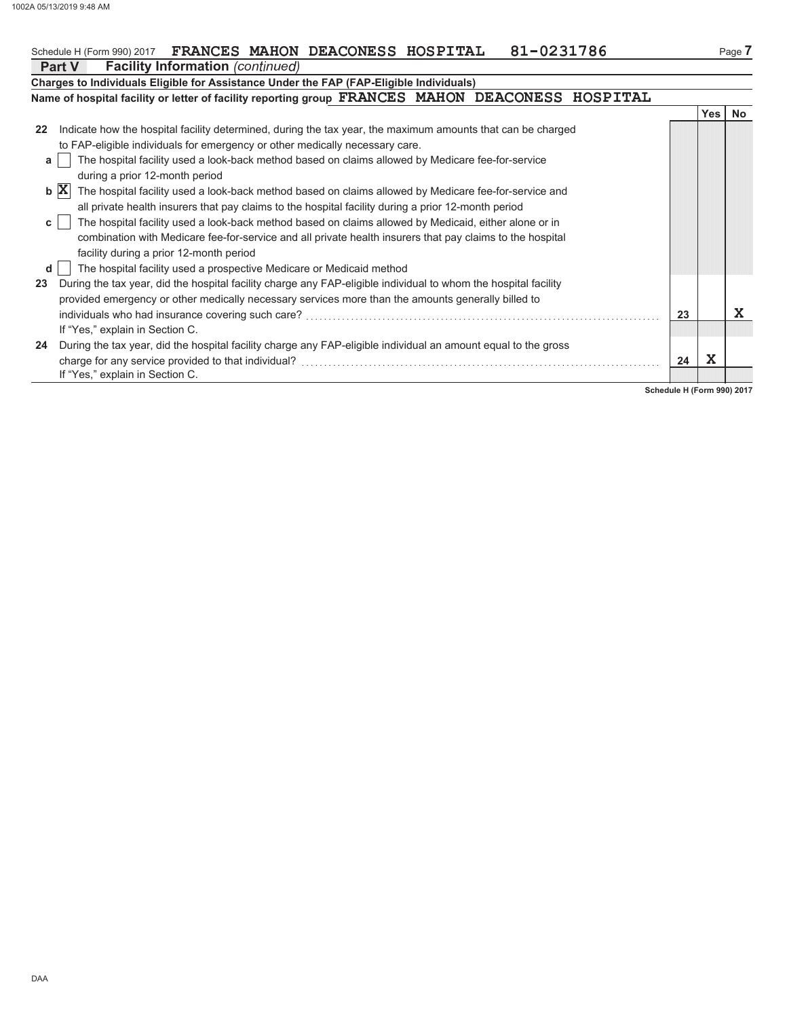# Schedule H (Form 990) 2017 FRANCES MAHON DEACONESS HOSPITAL 81-0231786

|    | 81-0231786<br>FRANCES MAHON DEACONESS HOSPITAL<br>Schedule H (Form 990) 2017                                            |    |       | Page 7    |
|----|-------------------------------------------------------------------------------------------------------------------------|----|-------|-----------|
|    | <b>Facility Information</b> (continued)<br><b>Part V</b>                                                                |    |       |           |
|    | Charges to Individuals Eligible for Assistance Under the FAP (FAP-Eligible Individuals)                                 |    |       |           |
|    | Name of hospital facility or letter of facility reporting group FRANCES MAHON DEACONESS HOSPITAL                        |    |       |           |
|    |                                                                                                                         |    | Yes I | <b>No</b> |
| 22 | Indicate how the hospital facility determined, during the tax year, the maximum amounts that can be charged             |    |       |           |
|    | to FAP-eligible individuals for emergency or other medically necessary care.                                            |    |       |           |
| a  | The hospital facility used a look-back method based on claims allowed by Medicare fee-for-service                       |    |       |           |
|    | during a prior 12-month period                                                                                          |    |       |           |
|    | $b \mathbf{X}$<br>The hospital facility used a look-back method based on claims allowed by Medicare fee-for-service and |    |       |           |
|    | all private health insurers that pay claims to the hospital facility during a prior 12-month period                     |    |       |           |
| C  | The hospital facility used a look-back method based on claims allowed by Medicaid, either alone or in                   |    |       |           |
|    | combination with Medicare fee-for-service and all private health insurers that pay claims to the hospital               |    |       |           |
|    | facility during a prior 12-month period                                                                                 |    |       |           |
| d  | The hospital facility used a prospective Medicare or Medicaid method                                                    |    |       |           |
| 23 | During the tax year, did the hospital facility charge any FAP-eligible individual to whom the hospital facility         |    |       |           |
|    | provided emergency or other medically necessary services more than the amounts generally billed to                      |    |       |           |
|    |                                                                                                                         | 23 |       | X         |
|    | If "Yes," explain in Section C.                                                                                         |    |       |           |
| 24 | During the tax year, did the hospital facility charge any FAP-eligible individual an amount equal to the gross          |    |       |           |
|    |                                                                                                                         | 24 | X     |           |
|    | If "Yes," explain in Section C.                                                                                         |    |       |           |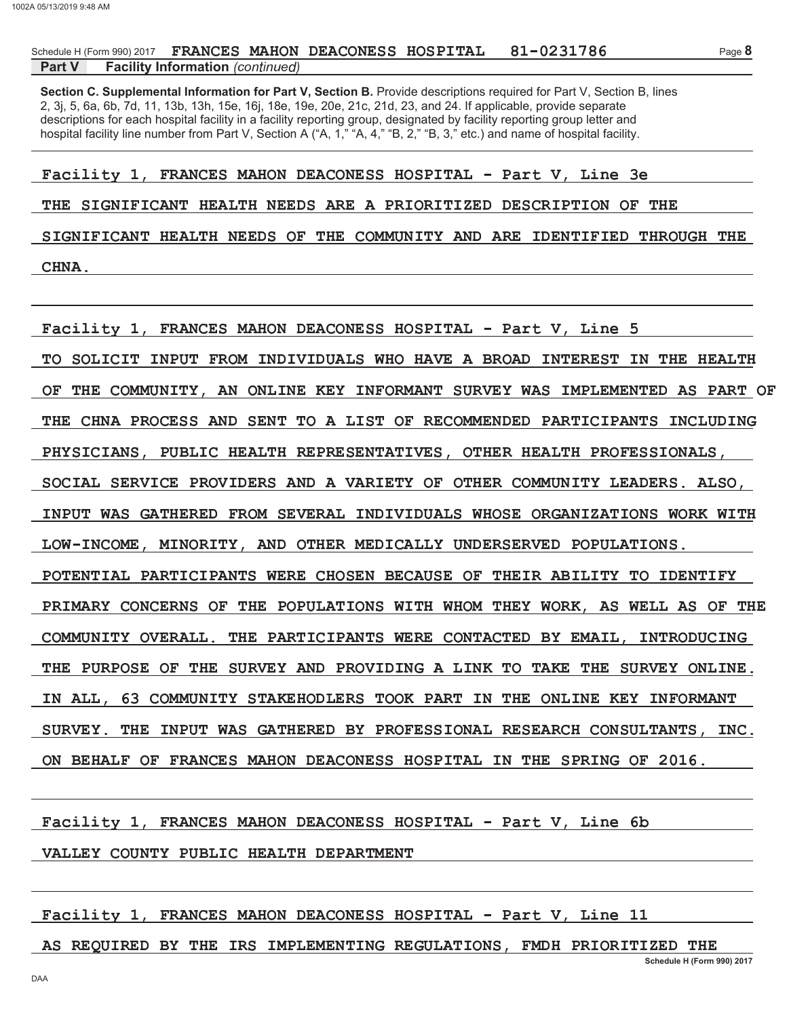#### Part V **Facility Information** (continued)

Section C. Supplemental Information for Part V, Section B. Provide descriptions required for Part V, Section B, lines 2, 3j, 5, 6a, 6b, 7d, 11, 13b, 13h, 15e, 16j, 18e, 19e, 20e, 21c, 21d, 23, and 24. If applicable, provide separate descriptions for each hospital facility in a facility reporting group, designated by facility reporting group letter and hospital facility line number from Part V, Section A ("A, 1," "A, 4," "B, 2," "B, 3," etc.) and name of hospital facility.

Facility 1, FRANCES MAHON DEACONESS HOSPITAL - Part V, Line 3e

THE SIGNIFICANT HEALTH NEEDS ARE A PRIORITIZED DESCRIPTION OF THE

SIGNIFICANT HEALTH NEEDS OF THE COMMUNITY AND ARE IDENTIFIED THROUGH THE **CHNA.** 

Facility 1, FRANCES MAHON DEACONESS HOSPITAL - Part V, Line 5 TO SOLICIT INPUT FROM INDIVIDUALS WHO HAVE A BROAD INTEREST IN THE HEALTH OF THE COMMUNITY, AN ONLINE KEY INFORMANT SURVEY WAS IMPLEMENTED AS PART OF THE CHNA PROCESS AND SENT TO A LIST OF RECOMMENDED PARTICIPANTS INCLUDING PHYSICIANS, PUBLIC HEALTH REPRESENTATIVES, OTHER HEALTH PROFESSIONALS, SOCIAL SERVICE PROVIDERS AND A VARIETY OF OTHER COMMUNITY LEADERS. ALSO, INPUT WAS GATHERED FROM SEVERAL INDIVIDUALS WHOSE ORGANIZATIONS WORK WITH LOW-INCOME, MINORITY, AND OTHER MEDICALLY UNDERSERVED POPULATIONS. POTENTIAL PARTICIPANTS WERE CHOSEN BECAUSE OF THEIR ABILITY TO IDENTIFY PRIMARY CONCERNS OF THE POPULATIONS WITH WHOM THEY WORK, AS WELL AS OF THE COMMUNITY OVERALL. THE PARTICIPANTS WERE CONTACTED BY EMAIL, INTRODUCING THE PURPOSE OF THE SURVEY AND PROVIDING A LINK TO TAKE THE SURVEY ONLINE. IN ALL, 63 COMMUNITY STAKEHODLERS TOOK PART IN THE ONLINE KEY INFORMANT **SURVEY.** THE INPUT WAS GATHERED BY PROFESSIONAL RESEARCH CONSULTANTS, INC. ON BEHALF OF FRANCES MAHON DEACONESS HOSPITAL IN THE SPRING OF 2016.

Facility 1, FRANCES MAHON DEACONESS HOSPITAL - Part V, Line 6b

### VALLEY COUNTY PUBLIC HEALTH DEPARTMENT

Facility 1, FRANCES MAHON DEACONESS HOSPITAL - Part V, Line 11

AS REQUIRED BY THE IRS IMPLEMENTING REGULATIONS, FMDH PRIORITIZED THE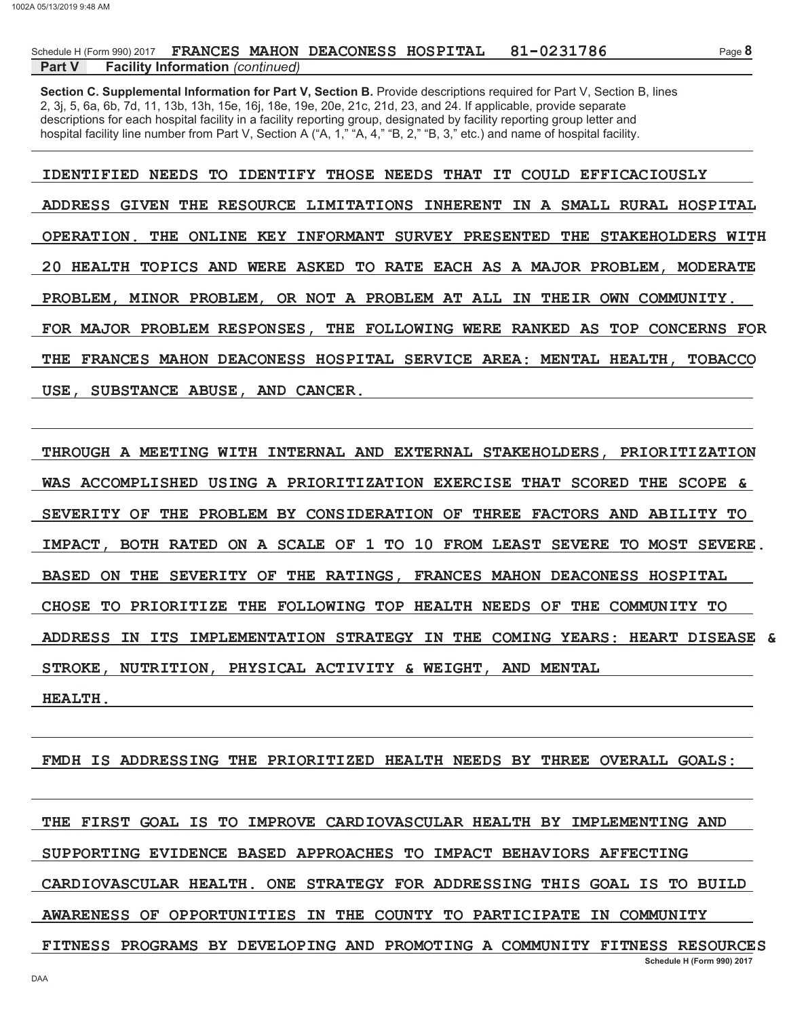### Part V **Facility Information** (continued)

Section C. Supplemental Information for Part V, Section B. Provide descriptions required for Part V, Section B, lines 2, 3j, 5, 6a, 6b, 7d, 11, 13b, 13h, 15e, 16j, 18e, 19e, 20e, 21c, 21d, 23, and 24. If applicable, provide separate descriptions for each hospital facility in a facility reporting group, designated by facility reporting group letter and hospital facility line number from Part V, Section A ("A, 1," "A, 4," "B, 2," "B, 3," etc.) and name of hospital facility.

IDENTIFIED NEEDS TO IDENTIFY THOSE NEEDS THAT IT COULD EFFICACIOUSLY ADDRESS GIVEN THE RESOURCE LIMITATIONS INHERENT IN A SMALL RURAL HOSPITAL OPERATION. THE ONLINE KEY INFORMANT SURVEY PRESENTED THE STAKEHOLDERS WITH 20 HEALTH TOPICS AND WERE ASKED TO RATE EACH AS A MAJOR PROBLEM, MODERATE PROBLEM, MINOR PROBLEM, OR NOT A PROBLEM AT ALL IN THEIR OWN COMMUNITY. FOR MAJOR PROBLEM RESPONSES. THE FOLLOWING WERE RANKED AS TOP CONCERNS FOR THE FRANCES MAHON DEACONESS HOSPITAL SERVICE AREA: MENTAL HEALTH, TOBACCO USE. SUBSTANCE ABUSE, AND CANCER.

THROUGH A MEETING WITH INTERNAL AND EXTERNAL STAKEHOLDERS, PRIORITIZATION WAS ACCOMPLISHED USING A PRIORITIZATION EXERCISE THAT SCORED THE SCOPE & SEVERITY OF THE PROBLEM BY CONSIDERATION OF THREE FACTORS AND ABILITY TO IMPACT, BOTH RATED ON A SCALE OF 1 TO 10 FROM LEAST SEVERE TO MOST SEVERE. BASED ON THE SEVERITY OF THE RATINGS, FRANCES MAHON DEACONESS HOSPITAL CHOSE TO PRIORITIZE THE FOLLOWING TOP HEALTH NEEDS OF THE COMMUNITY TO ADDRESS IN ITS IMPLEMENTATION STRATEGY IN THE COMING YEARS: HEART DISEASE ିଧ STROKE, NUTRITION, PHYSICAL ACTIVITY & WEIGHT, AND MENTAL

HEALTH.

FMDH IS ADDRESSING THE PRIORITIZED HEALTH NEEDS BY THREE OVERALL GOALS:

THE FIRST GOAL IS TO IMPROVE CARDIOVASCULAR HEALTH BY IMPLEMENTING AND SUPPORTING EVIDENCE BASED APPROACHES TO IMPACT BEHAVIORS AFFECTING CARDIOVASCULAR HEALTH. ONE STRATEGY FOR ADDRESSING THIS GOAL IS TO BUILD AWARENESS OF OPPORTUNITIES IN THE COUNTY TO PARTICIPATE IN COMMUNITY FITNESS PROGRAMS BY DEVELOPING AND PROMOTING A COMMUNITY FITNESS RESOURCES Schedule H (Form 990) 2017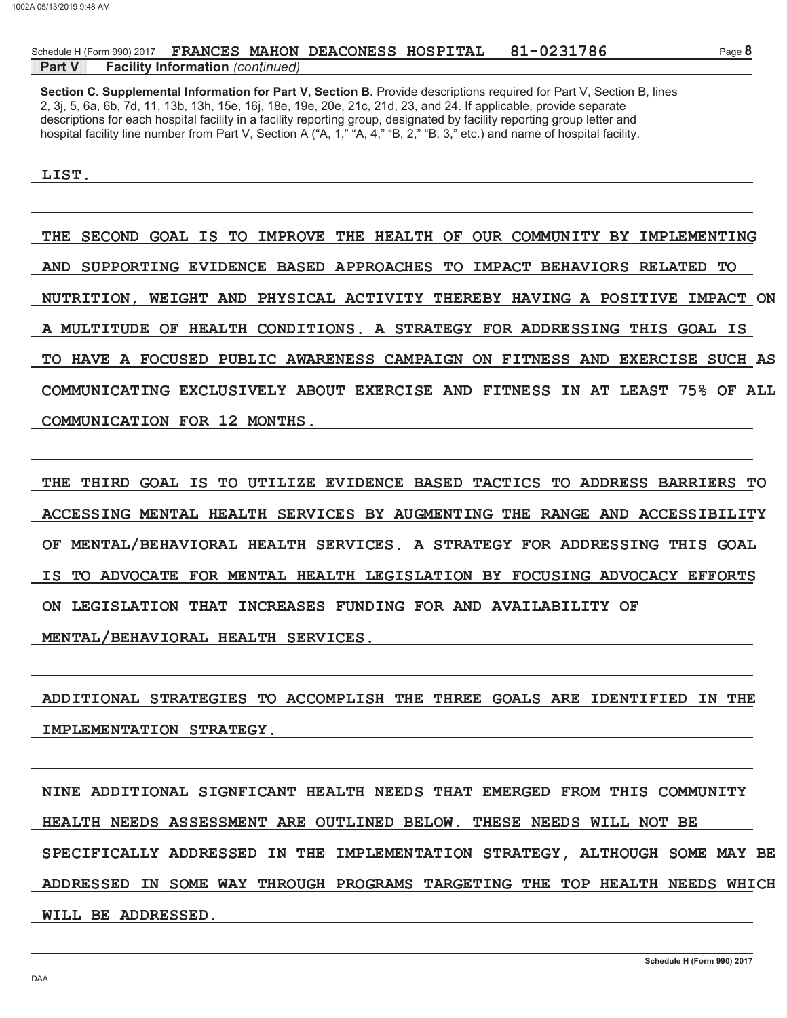### Part V **Facility Information** (continued)

Section C. Supplemental Information for Part V, Section B. Provide descriptions required for Part V, Section B, lines 2, 3j, 5, 6a, 6b, 7d, 11, 13b, 13h, 15e, 16j, 18e, 19e, 20e, 21c, 21d, 23, and 24. If applicable, provide separate descriptions for each hospital facility in a facility reporting group, designated by facility reporting group letter and hospital facility line number from Part V, Section A ("A, 1," "A, 4," "B, 2," "B, 3," etc.) and name of hospital facility.

### LIST.

THE SECOND GOAL IS TO IMPROVE THE HEALTH OF OUR COMMUNITY BY IMPLEMENTING AND SUPPORTING EVIDENCE BASED APPROACHES TO IMPACT BEHAVIORS RELATED TO NUTRITION, WEIGHT AND PHYSICAL ACTIVITY THEREBY HAVING A POSITIVE IMPACT ON A MULTITUDE OF HEALTH CONDITIONS. A STRATEGY FOR ADDRESSING THIS GOAL IS TO HAVE A FOCUSED PUBLIC AWARENESS CAMPAIGN ON FITNESS AND EXERCISE SUCH AS COMMUNICATING EXCLUSIVELY ABOUT EXERCISE AND FITNESS IN AT LEAST 75% OF ALL COMMUNICATION FOR 12 MONTHS.

THE THIRD GOAL IS TO UTILIZE EVIDENCE BASED TACTICS TO ADDRESS BARRIERS TO ACCESSING MENTAL HEALTH SERVICES BY AUGMENTING THE RANGE AND ACCESSIBILITY OF MENTAL/BEHAVIORAL HEALTH SERVICES. A STRATEGY FOR ADDRESSING THIS GOAL IS TO ADVOCATE FOR MENTAL HEALTH LEGISLATION BY FOCUSING ADVOCACY EFFORTS ON LEGISLATION THAT INCREASES FUNDING FOR AND AVAILABILITY OF MENTAL/BEHAVIORAL HEALTH SERVICES.

ADDITIONAL STRATEGIES TO ACCOMPLISH THE THREE GOALS ARE IDENTIFIED IN THE IMPLEMENTATION STRATEGY.

NINE ADDITIONAL SIGNFICANT HEALTH NEEDS THAT EMERGED FROM THIS COMMUNITY HEALTH NEEDS ASSESSMENT ARE OUTLINED BELOW. THESE NEEDS WILL NOT BE SPECIFICALLY ADDRESSED IN THE IMPLEMENTATION STRATEGY, ALTHOUGH SOME MAY BE ADDRESSED IN SOME WAY THROUGH PROGRAMS TARGETING THE TOP HEALTH NEEDS WHICH WILL BE ADDRESSED.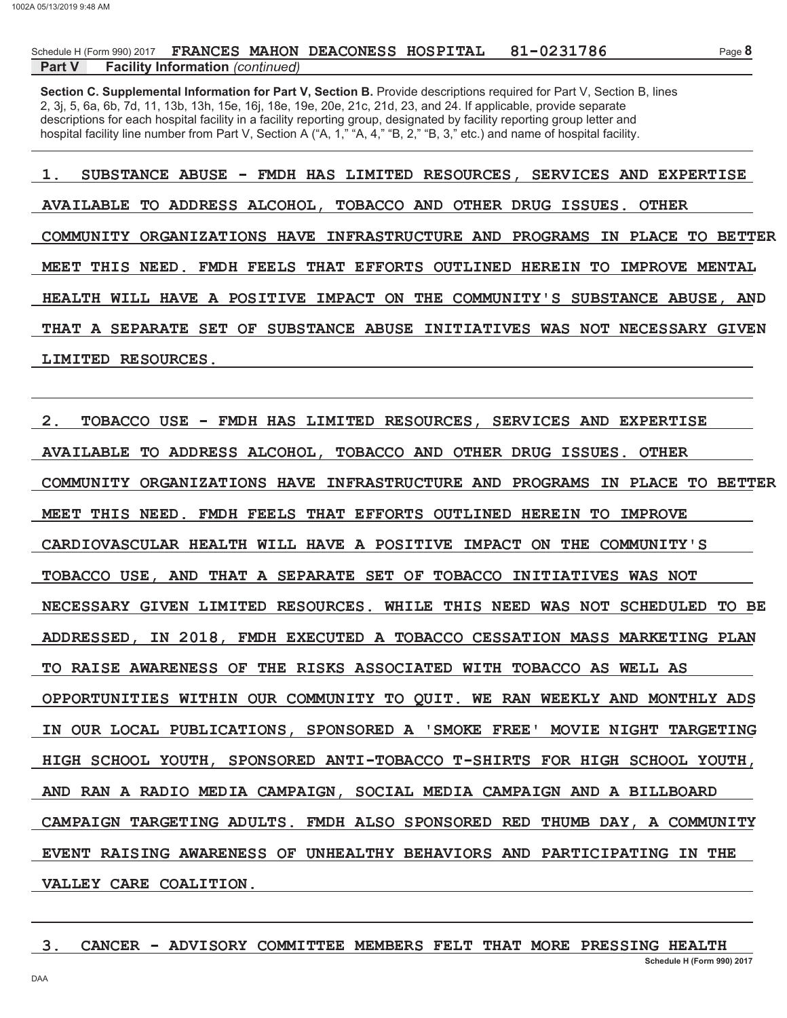#### Part V **Facility Information** (continued)

Section C. Supplemental Information for Part V, Section B. Provide descriptions required for Part V, Section B, lines 2, 3j, 5, 6a, 6b, 7d, 11, 13b, 13h, 15e, 16j, 18e, 19e, 20e, 21c, 21d, 23, and 24. If applicable, provide separate descriptions for each hospital facility in a facility reporting group, designated by facility reporting group letter and hospital facility line number from Part V, Section A ("A, 1," "A, 4," "B, 2," "B, 3," etc.) and name of hospital facility.

SUBSTANCE ABUSE - FMDH HAS LIMITED RESOURCES, SERVICES AND EXPERTISE  $1.$ AVAILABLE TO ADDRESS ALCOHOL, TOBACCO AND OTHER DRUG ISSUES. **OTHER** COMMUNITY ORGANIZATIONS HAVE INFRASTRUCTURE AND PROGRAMS IN PLACE TO BETTER MEET THIS NEED. FMDH FEELS THAT EFFORTS OUTLINED HEREIN TO IMPROVE MENTAL HEALTH WILL HAVE A POSITIVE IMPACT ON THE COMMUNITY'S SUBSTANCE ABUSE, AND THAT A SEPARATE SET OF SUBSTANCE ABUSE INITIATIVES WAS NOT NECESSARY GIVEN LIMITED RESOURCES.

 $2<sub>1</sub>$ TOBACCO USE - FMDH HAS LIMITED RESOURCES, SERVICES AND EXPERTISE AVAILABLE TO ADDRESS ALCOHOL, TOBACCO AND OTHER DRUG ISSUES. OTHER COMMUNITY ORGANIZATIONS HAVE INFRASTRUCTURE AND PROGRAMS IN PLACE TO BETTER MEET THIS NEED. FMDH FEELS THAT EFFORTS OUTLINED HEREIN TO IMPROVE CARDIOVASCULAR HEALTH WILL HAVE A POSITIVE IMPACT ON THE COMMUNITY'S TOBACCO USE, AND THAT A SEPARATE SET OF TOBACCO INITIATIVES WAS NOT NECESSARY GIVEN LIMITED RESOURCES. WHILE THIS NEED WAS NOT SCHEDULED TO BE ADDRESSED, IN 2018, FMDH EXECUTED A TOBACCO CESSATION MASS MARKETING PLAN TO RAISE AWARENESS OF THE RISKS ASSOCIATED WITH TOBACCO AS WELL AS OPPORTUNITIES WITHIN OUR COMMUNITY TO OUIT. WE RAN WEEKLY AND MONTHLY ADS IN OUR LOCAL PUBLICATIONS, SPONSORED A 'SMOKE FREE' MOVIE NIGHT TARGETING HIGH SCHOOL YOUTH, SPONSORED ANTI-TOBACCO T-SHIRTS FOR HIGH SCHOOL YOUTH, AND RAN A RADIO MEDIA CAMPAIGN, SOCIAL MEDIA CAMPAIGN AND A BILLBOARD CAMPAIGN TARGETING ADULTS. FMDH ALSO SPONSORED RED THUMB DAY, A COMMUNITY EVENT RAISING AWARENESS OF UNHEALTHY BEHAVIORS AND PARTICIPATING IN THE VALLEY CARE COALITION.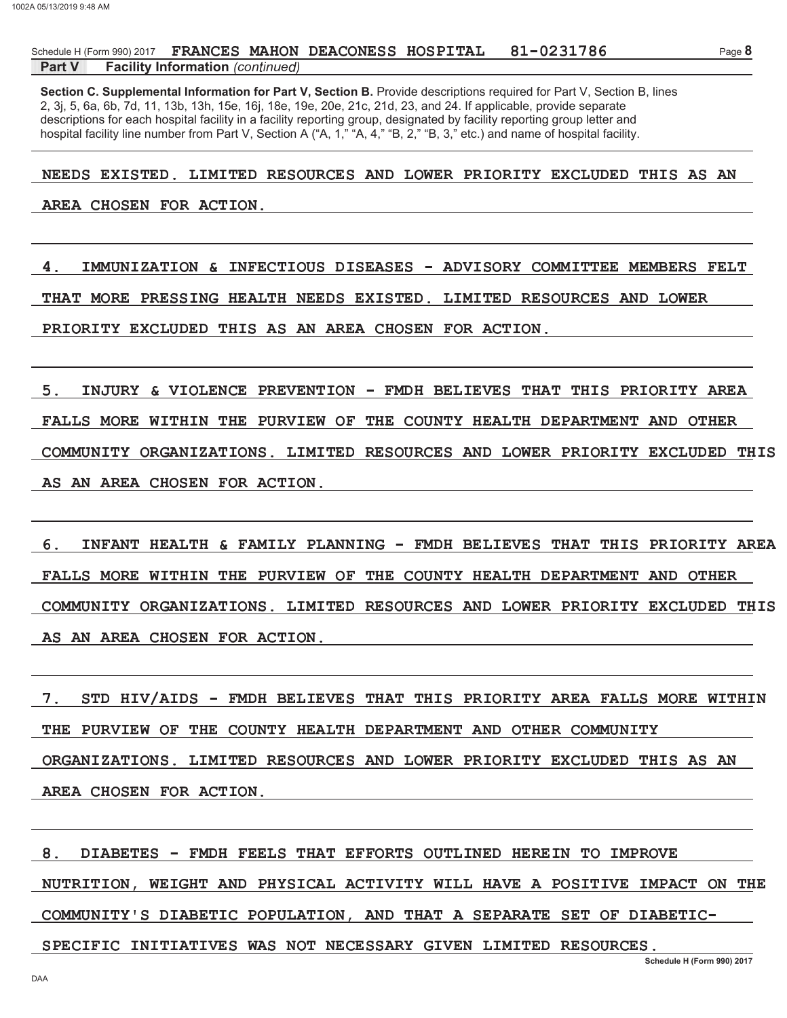#### Part V **Facility Information** (continued)

Section C. Supplemental Information for Part V, Section B. Provide descriptions required for Part V, Section B, lines 2, 3j, 5, 6a, 6b, 7d, 11, 13b, 13h, 15e, 16j, 18e, 19e, 20e, 21c, 21d, 23, and 24. If applicable, provide separate descriptions for each hospital facility in a facility reporting group, designated by facility reporting group letter and hospital facility line number from Part V, Section A ("A, 1," "A, 4," "B, 2," "B, 3," etc.) and name of hospital facility.

### NEEDS EXISTED. LIMITED RESOURCES AND LOWER PRIORITY EXCLUDED THIS AS AN

### AREA CHOSEN FOR ACTION.

IMMUNIZATION & INFECTIOUS DISEASES - ADVISORY COMMITTEE MEMBERS FELT 4. THAT MORE PRESSING HEALTH NEEDS EXISTED. LIMITED RESOURCES AND LOWER PRIORITY EXCLUDED THIS AS AN AREA CHOSEN FOR ACTION.

5. INJURY & VIOLENCE PREVENTION - FMDH BELIEVES THAT THIS PRIORITY AREA FALLS MORE WITHIN THE PURVIEW OF THE COUNTY HEALTH DEPARTMENT AND OTHER COMMUNITY ORGANIZATIONS. LIMITED RESOURCES AND LOWER PRIORITY EXCLUDED THIS AS AN AREA CHOSEN FOR ACTION.

6. INFANT HEALTH & FAMILY PLANNING - FMDH BELIEVES THAT THIS PRIORITY AREA FALLS MORE WITHIN THE PURVIEW OF THE COUNTY HEALTH DEPARTMENT AND OTHER COMMUNITY ORGANIZATIONS. LIMITED RESOURCES AND LOWER PRIORITY EXCLUDED THIS AS AN AREA CHOSEN FOR ACTION.

 $7.$ STD HIV/AIDS - FMDH BELIEVES THAT THIS PRIORITY AREA FALLS MORE WITHIN THE PURVIEW OF THE COUNTY HEALTH DEPARTMENT AND OTHER COMMUNITY ORGANIZATIONS. LIMITED RESOURCES AND LOWER PRIORITY EXCLUDED THIS AS AN AREA CHOSEN FOR ACTION.

DIABETES - FMDH FEELS THAT EFFORTS OUTLINED HEREIN TO IMPROVE 8. NUTRITION, WEIGHT AND PHYSICAL ACTIVITY WILL HAVE A POSITIVE IMPACT ON THE COMMUNITY'S DIABETIC POPULATION, AND THAT A SEPARATE SET OF DIABETIC-SPECIFIC INITIATIVES WAS NOT NECESSARY GIVEN LIMITED RESOURCES.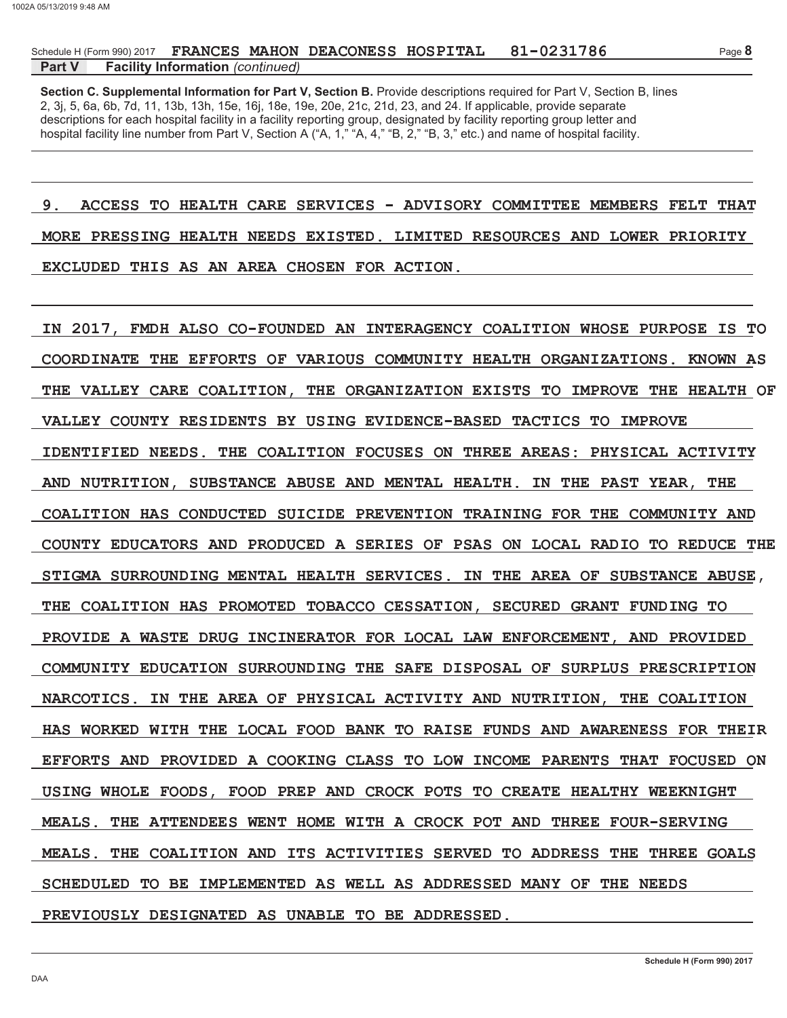### Part V **Facility Information** (continued)

Section C. Supplemental Information for Part V, Section B. Provide descriptions required for Part V, Section B, lines 2, 3j, 5, 6a, 6b, 7d, 11, 13b, 13h, 15e, 16j, 18e, 19e, 20e, 21c, 21d, 23, and 24. If applicable, provide separate descriptions for each hospital facility in a facility reporting group, designated by facility reporting group letter and hospital facility line number from Part V, Section A ("A, 1," "A, 4," "B, 2," "B, 3," etc.) and name of hospital facility.

 $9.$ ACCESS TO HEALTH CARE SERVICES - ADVISORY COMMITTEE MEMBERS FELT THAT MORE PRESSING HEALTH NEEDS EXISTED. LIMITED RESOURCES AND LOWER PRIORITY EXCLUDED THIS AS AN AREA CHOSEN FOR ACTION.

IN 2017, FMDH ALSO CO-FOUNDED AN INTERAGENCY COALITION WHOSE PURPOSE IS TO COORDINATE THE EFFORTS OF VARIOUS COMMUNITY HEALTH ORGANIZATIONS. KNOWN AS THE VALLEY CARE COALITION. THE ORGANIZATION EXISTS TO IMPROVE THE HEALTH OF VALLEY COUNTY RESIDENTS BY USING EVIDENCE-BASED TACTICS TO IMPROVE IDENTIFIED NEEDS. THE COALITION FOCUSES ON THREE AREAS: PHYSICAL ACTIVITY AND NUTRITION, SUBSTANCE ABUSE AND MENTAL HEALTH. IN THE PAST YEAR, THE COALITION HAS CONDUCTED SUICIDE PREVENTION TRAINING FOR THE COMMUNITY AND COUNTY EDUCATORS AND PRODUCED A SERIES OF PSAS ON LOCAL RADIO TO REDUCE THE STIGMA SURROUNDING MENTAL HEALTH SERVICES. IN THE AREA OF SUBSTANCE ABUSE, THE COALITION HAS PROMOTED TOBACCO CESSATION, SECURED GRANT FUNDING TO PROVIDE A WASTE DRUG INCINERATOR FOR LOCAL LAW ENFORCEMENT, AND PROVIDED COMMUNITY EDUCATION SURROUNDING THE SAFE DISPOSAL OF SURPLUS PRESCRIPTION NARCOTICS. IN THE AREA OF PHYSICAL ACTIVITY AND NUTRITION, THE COALITION HAS WORKED WITH THE LOCAL FOOD BANK TO RAISE FUNDS AND AWARENESS FOR THEIR EFFORTS AND PROVIDED A COOKING CLASS TO LOW INCOME PARENTS THAT FOCUSED ON USING WHOLE FOODS, FOOD PREP AND CROCK POTS TO CREATE HEALTHY WEEKNIGHT MEALS. THE ATTENDEES WENT HOME WITH A CROCK POT AND THREE FOUR-SERVING THE COALITION AND ITS ACTIVITIES SERVED TO ADDRESS THE THREE GOALS **MEALS.** SCHEDULED TO BE IMPLEMENTED AS WELL AS ADDRESSED MANY OF THE NEEDS PREVIOUSLY DESIGNATED AS UNABLE TO BE ADDRESSED.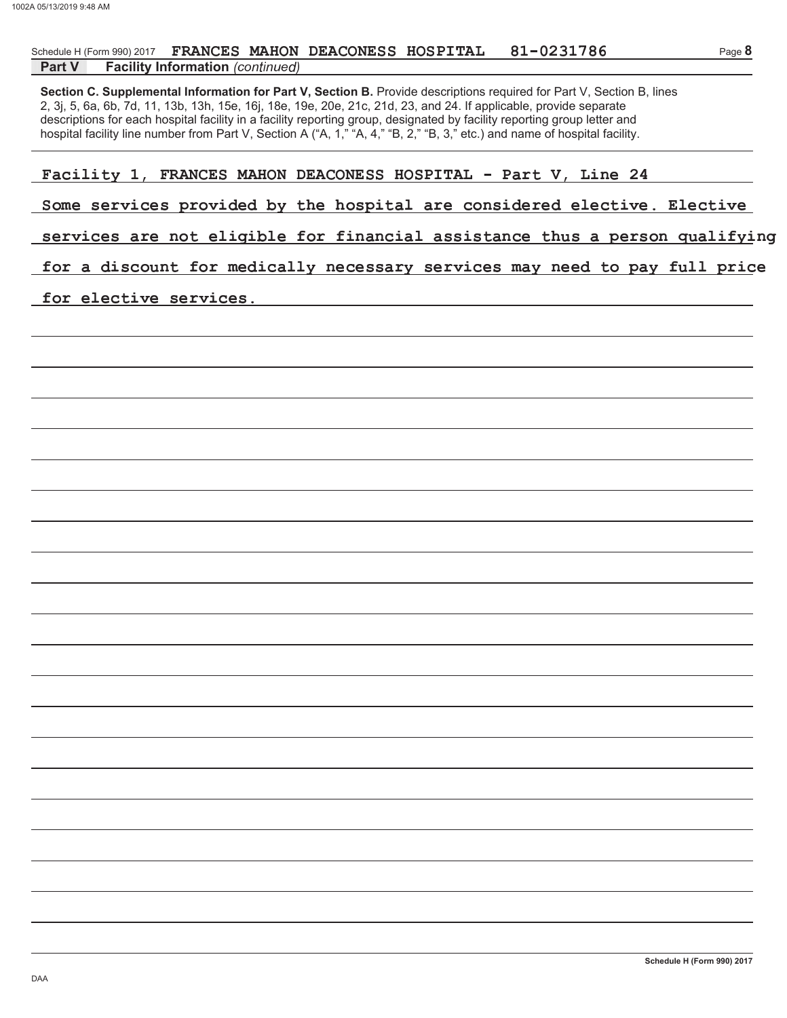### Schedule H (Form 990) 2017 FRANCES MAHON DEACONESS HOSPITAL 81-023178

### **Facility Information** (continued) **Part V**

2, 3j, 5, 6a, 6b, 7d, 11, 13b, 13h, 15e, 16j, 18e, 19e, 20e, 21c, 21d, 23, and 24. If applicable, provide separate descriptions for each hospital facility in a facility reporting group, designated by facility reporting group letter and Section C. Supplemental Information for Part V, Section B. Provide descriptions required for Part V, Section B, lines hospital facility line number from Part V, Section A ("A, 1," "A, 4," "B, 2," "B, 3," etc.) and name of hospital facility.

- ] ^ \_ ` \_ <sup>a</sup> <sup>b</sup> ( <sup>c</sup> ! " ! ! # \$ % & ) # ] <sup>d</sup> <sup>a</sup> <sup>e</sup> <sup>c</sup> & \_ <sup>f</sup> <sup>g</sup> <sup>+</sup> <sup>0</sup>
- $\bullet$  . The state is a contract when  $\bullet$  and  $\bullet$  and  $\bullet$  and  $\bullet$  and  $\bullet$  and  $\bullet$  and  $\bullet$  and  $\bullet$  and  $\bullet$  and  $\bullet$  and  $\bullet$  and  $\bullet$  and  $\bullet$  and  $\bullet$  and  $\bullet$  and  $\bullet$  and  $\bullet$  and  $\bullet$  and  $\bullet$  and  $\bullet$  and  $\bullet$

### x <sup>g</sup> <sup>d</sup> <sup>y</sup> \_ ^ <sup>g</sup> <sup>x</sup> ] <sup>d</sup> <sup>g</sup> <sup>f</sup> <sup>v</sup> <sup>a</sup> <sup>g</sup> ` \_ } \_ <sup>m</sup> ` <sup>g</sup> <sup>~</sup> <sup>v</sup> <sup>d</sup> <sup>~</sup> \_ <sup>f</sup> ] <sup>f</sup> ^ \_ ] ` ] <sup>x</sup> <sup>x</sup> \_ <sup>x</sup> <sup>a</sup> ] <sup>f</sup> ^ <sup>g</sup> <sup>a</sup> <sup>|</sup> <sup>x</sup> ] <sup>z</sup> <sup>g</sup> <sup>d</sup> <sup>x</sup> <sup>v</sup> <sup>f</sup> ] ` \_ <sup>~</sup> <sup>b</sup> \_ <sup>f</sup> }

 ${\color{red}\bullet}$  , the state and we get a state  ${\color{red}\bullet}$  d b  ${\color{red}\bullet}$  for  ${\color{red}\bullet}$  .

### ~ <sup>v</sup> <sup>d</sup> <sup>g</sup> ` <sup>g</sup> ^ <sup>a</sup> \_ <sup>y</sup> <sup>g</sup> <sup>x</sup> <sup>g</sup> <sup>d</sup> <sup>y</sup> \_ ^ <sup>g</sup> <sup>x</sup> [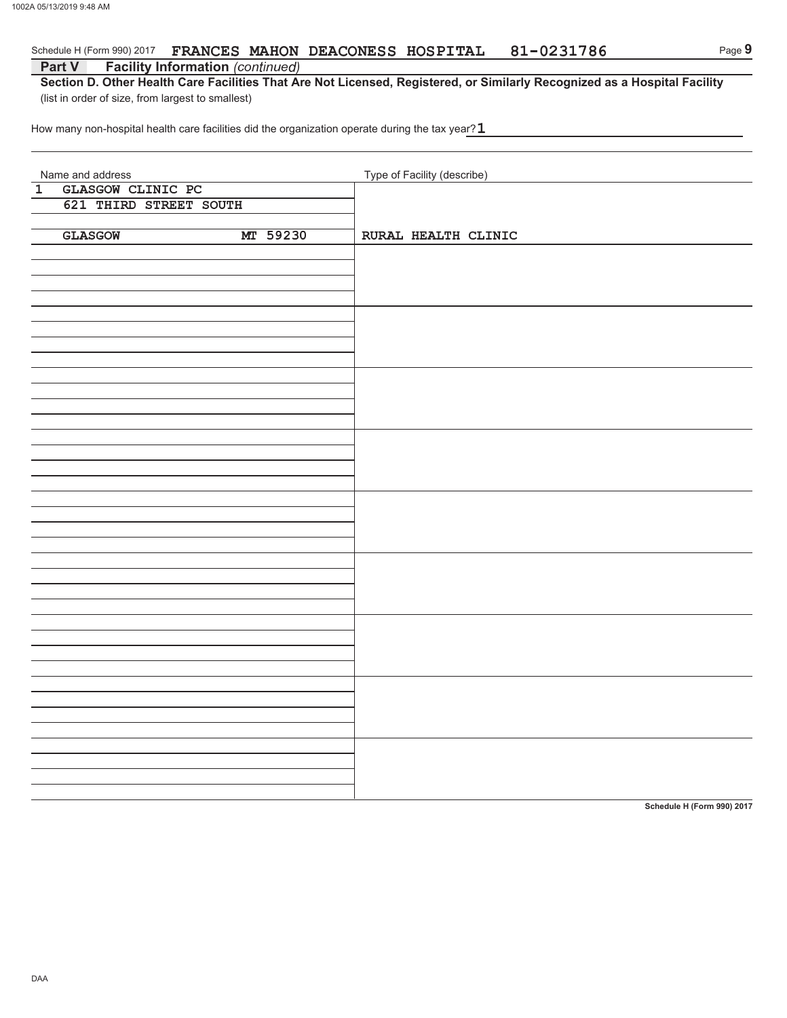### Schedule H (Form 990) 2017 GRANCES MAHON DEACONESS HOSPITAL  $81-023178$

### **Part V Facility Information** (continued)

Section D. Other Health Care Facilities That Are Not Licensed, Registered, or Similarly Recognized as a Hospital Facility (list in order of size, from largest to smallest)

How many non-hospital health care facilities did the organization operate during the tax year? $\,$ 

| Name and address                    | Type of Facility (describe) |
|-------------------------------------|-----------------------------|
| $\overline{1}$<br>GLASGOW CLINIC PC |                             |
| 621 THIRD STREET SOUTH              |                             |
|                                     |                             |
|                                     |                             |
| MT 59230<br><b>GLASGOW</b>          | RURAL HEALTH CLINIC         |
|                                     |                             |
|                                     |                             |
|                                     |                             |
|                                     |                             |
|                                     |                             |
|                                     |                             |
|                                     |                             |
|                                     |                             |
|                                     |                             |
|                                     |                             |
|                                     |                             |
|                                     |                             |
|                                     |                             |
|                                     |                             |
|                                     |                             |
|                                     |                             |
|                                     |                             |
|                                     |                             |
|                                     |                             |
|                                     |                             |
|                                     |                             |
|                                     |                             |
|                                     |                             |
|                                     |                             |
|                                     |                             |
|                                     |                             |
|                                     |                             |
|                                     |                             |
|                                     |                             |
|                                     |                             |
|                                     |                             |
|                                     |                             |
|                                     |                             |
|                                     |                             |
|                                     |                             |
|                                     |                             |
|                                     |                             |
|                                     |                             |
|                                     |                             |
|                                     |                             |
|                                     |                             |
|                                     |                             |
|                                     |                             |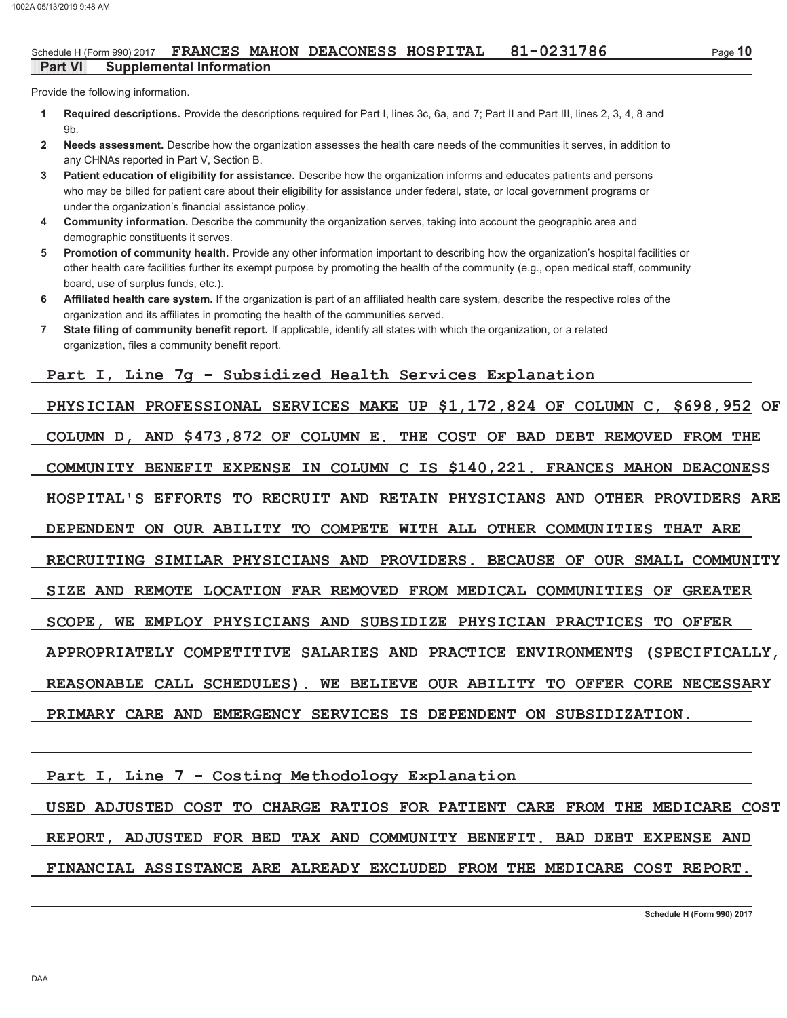Provide the following information.

- Required descriptions. Provide the descriptions required for Part I, lines 3c, 6a, and 7; Part II and Part III, lines 2, 3, 4, 8 and  $\blacktriangleleft$  $9<sub>b</sub>$
- Needs assessment. Describe how the organization assesses the health care needs of the communities it serves, in addition to  $\overline{2}$ any CHNAs reported in Part V, Section B.
- Patient education of eligibility for assistance. Describe how the organization informs and educates patients and persons  $\overline{3}$ who may be billed for patient care about their eligibility for assistance under federal, state, or local government programs or under the organization's financial assistance policy.
- Community information. Describe the community the organization serves, taking into account the geographic area and  $\overline{\mathbf{4}}$ demographic constituents it serves.
- Promotion of community health. Provide any other information important to describing how the organization's hospital facilities or 5 other health care facilities further its exempt purpose by promoting the health of the community (e.g., open medical staff, community board, use of surplus funds, etc.).
- Affiliated health care system. If the organization is part of an affiliated health care system, describe the respective roles of the 6 organization and its affiliates in promoting the health of the communities served.
- $\overline{7}$ State filing of community benefit report. If applicable, identify all states with which the organization, or a related organization, files a community benefit report.

# Part I, Line 7g - Subsidized Health Services Explanation

PHYSICIAN PROFESSIONAL SERVICES MAKE UP \$1,172,824 OF COLUMN C, \$698,952 OF COLUMN D, AND \$473,872 OF COLUMN E. THE COST OF BAD DEBT REMOVED FROM THE COMMUNITY BENEFIT EXPENSE IN COLUMN C IS \$140,221. FRANCES MAHON DEACONESS HOSPITAL'S EFFORTS TO RECRUIT AND RETAIN PHYSICIANS AND OTHER PROVIDERS ARE DEPENDENT ON OUR ABILITY TO COMPETE WITH ALL OTHER COMMUNITIES THAT ARE RECRUITING SIMILAR PHYSICIANS AND PROVIDERS. BECAUSE OF OUR SMALL COMMUNITY SIZE AND REMOTE LOCATION FAR REMOVED FROM MEDICAL COMMUNITIES OF GREATER SCOPE, WE EMPLOY PHYSICIANS AND SUBSIDIZE PHYSICIAN PRACTICES TO OFFER APPROPRIATELY COMPETITIVE SALARIES AND PRACTICE ENVIRONMENTS (SPECIFICALLY, REASONABLE CALL SCHEDULES). WE BELIEVE OUR ABILITY TO OFFER CORE NECESSARY PRIMARY CARE AND EMERGENCY SERVICES IS DEPENDENT ON SUBSIDIZATION.

Part I, Line 7 - Costing Methodology Explanation

USED ADJUSTED COST TO CHARGE RATIOS FOR PATIENT CARE FROM THE MEDICARE COST REPORT, ADJUSTED FOR BED TAX AND COMMUNITY BENEFIT. BAD DEBT EXPENSE AND FINANCIAL ASSISTANCE ARE ALREADY EXCLUDED FROM THE MEDICARE COST REPORT.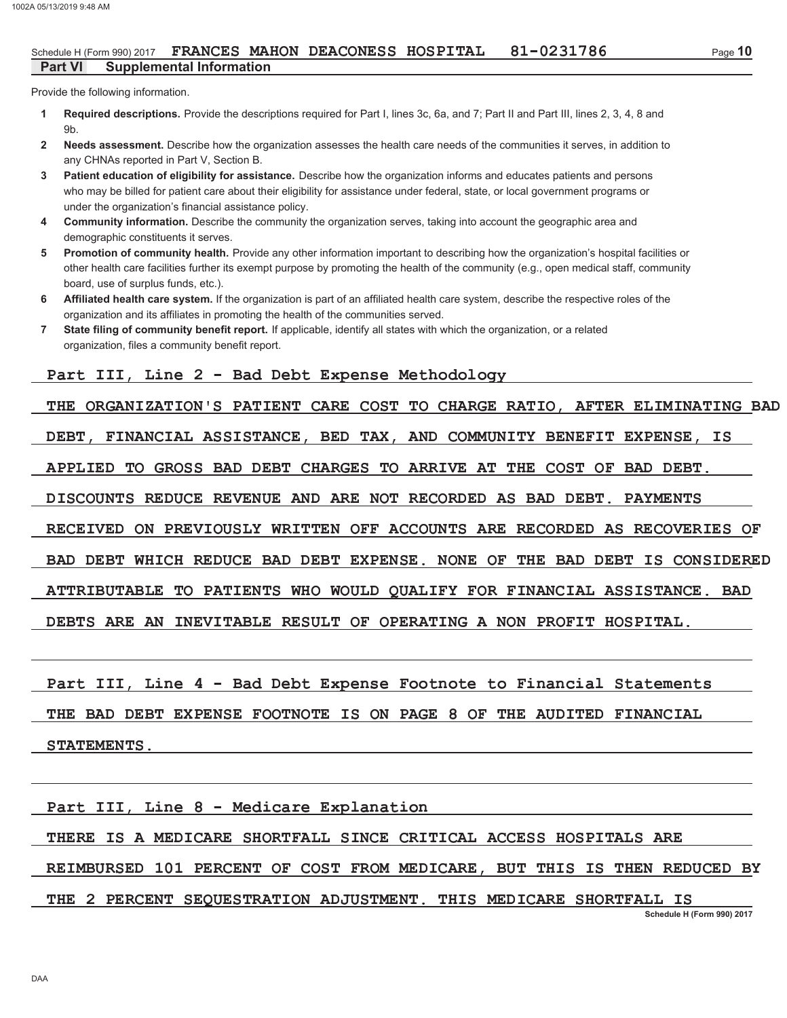#### 81-0231786 Schedule H (Form 990) 2017 FRANCES MAHON DEACONESS HOSPITAL **Part VI Supplemental Information**

Provide the following information.

- Required descriptions. Provide the descriptions required for Part I, lines 3c, 6a, and 7; Part II and Part III, lines 2, 3, 4, 8 and  $\blacktriangleleft$  $9<sub>b</sub>$
- Needs assessment. Describe how the organization assesses the health care needs of the communities it serves, in addition to  $\overline{2}$ any CHNAs reported in Part V, Section B.
- $\overline{3}$ Patient education of eligibility for assistance. Describe how the organization informs and educates patients and persons who may be billed for patient care about their eligibility for assistance under federal, state, or local government programs or under the organization's financial assistance policy.
- $\overline{\mathbf{4}}$ Community information. Describe the community the organization serves, taking into account the geographic area and demographic constituents it serves.
- Promotion of community health. Provide any other information important to describing how the organization's hospital facilities or 5. other health care facilities further its exempt purpose by promoting the health of the community (e.g., open medical staff, community board, use of surplus funds, etc.).
- Affiliated health care system. If the organization is part of an affiliated health care system, describe the respective roles of the 6 organization and its affiliates in promoting the health of the communities served.
- $\overline{7}$ State filing of community benefit report. If applicable, identify all states with which the organization, or a related organization, files a community benefit report.

# Part III, Line 2 - Bad Debt Expense Methodology

THE ORGANIZATION'S PATIENT CARE COST TO CHARGE RATIO, AFTER ELIMINATING BAD

DEBT, FINANCIAL ASSISTANCE, BED TAX, AND COMMUNITY BENEFIT EXPENSE, IS

APPLIED TO GROSS BAD DEBT CHARGES TO ARRIVE AT THE COST OF BAD DEBT.

DISCOUNTS REDUCE REVENUE AND ARE NOT RECORDED AS BAD DEBT. PAYMENTS

RECEIVED ON PREVIOUSLY WRITTEN OFF ACCOUNTS ARE RECORDED AS RECOVERIES OF

BAD DEBT WHICH REDUCE BAD DEBT EXPENSE. NONE OF THE BAD DEBT IS CONSIDERED

ATTRIBUTABLE TO PATIENTS WHO WOULD QUALIFY FOR FINANCIAL ASSISTANCE. BAD

DEBTS ARE AN INEVITABLE RESULT OF OPERATING A NON PROFIT HOSPITAL.

Part III, Line 4 - Bad Debt Expense Footnote to Financial Statements

THE BAD DEBT EXPENSE FOOTNOTE IS ON PAGE 8 OF THE AUDITED FINANCIAL

STATEMENTS.

Part III, Line 8 - Medicare Explanation

THERE IS A MEDICARE SHORTFALL SINCE CRITICAL ACCESS HOSPITALS ARE

REIMBURSED 101 PERCENT OF COST FROM MEDICARE, BUT THIS IS THEN REDUCED BY

### THE 2 PERCENT SEQUESTRATION ADJUSTMENT. THIS MEDICARE SHORTFALL IS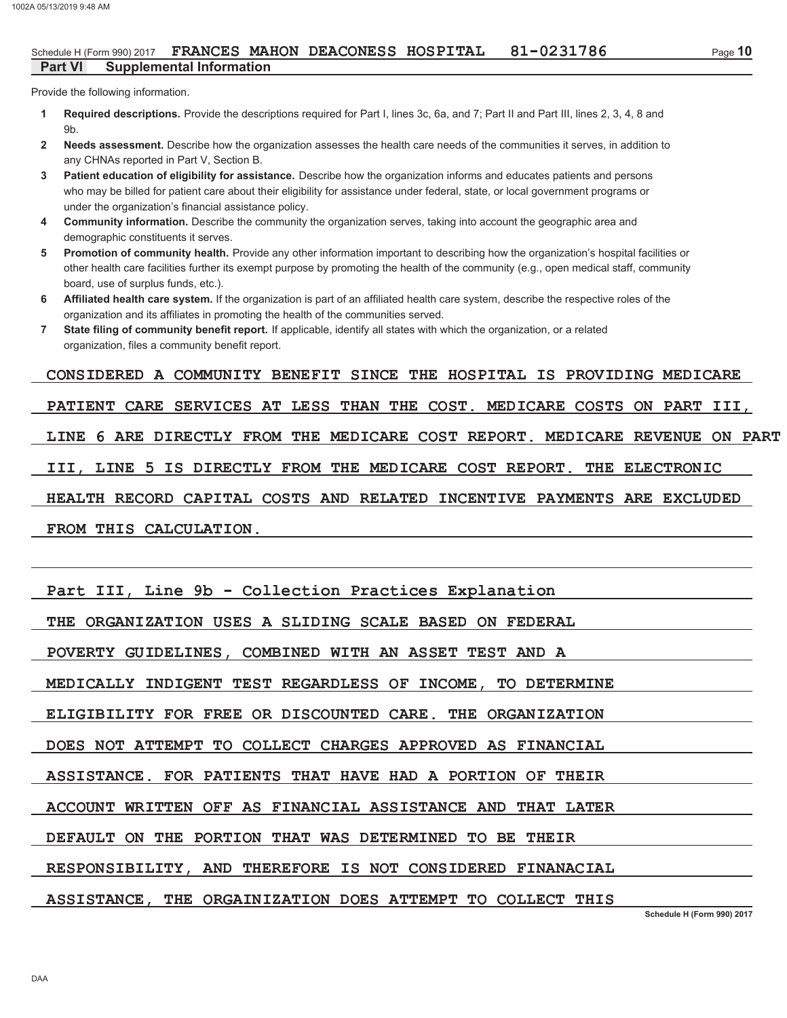#### 81-0231786 Schedule H (Form 990) 2017 FRANCES MAHON DEACONESS HOSPITAL **Part VI Supplemental Information**

Provide the following information.

- Required descriptions. Provide the descriptions required for Part I, lines 3c, 6a, and 7; Part II and Part III, lines 2, 3, 4, 8 and  $\blacktriangleleft$  $9<sub>b</sub>$
- Needs assessment. Describe how the organization assesses the health care needs of the communities it serves, in addition to  $\overline{2}$ any CHNAs reported in Part V, Section B.
- Patient education of eligibility for assistance. Describe how the organization informs and educates patients and persons  $\overline{3}$ who may be billed for patient care about their eligibility for assistance under federal, state, or local government programs or under the organization's financial assistance policy.
- Community information. Describe the community the organization serves, taking into account the geographic area and  $\overline{\mathbf{4}}$ demographic constituents it serves.
- Promotion of community health. Provide any other information important to describing how the organization's hospital facilities or 5 other health care facilities further its exempt purpose by promoting the health of the community (e.g., open medical staff, community board, use of surplus funds, etc.).
- Affiliated health care system. If the organization is part of an affiliated health care system, describe the respective roles of the 6 organization and its affiliates in promoting the health of the communities served.
- $\overline{7}$ State filing of community benefit report. If applicable, identify all states with which the organization, or a related organization, files a community benefit report.

# CONSIDERED A COMMUNITY BENEFIT SINCE THE HOSPITAL IS PROVIDING MEDICARE

PATIENT CARE SERVICES AT LESS THAN THE COST. MEDICARE COSTS ON PART III, LINE 6 ARE DIRECTLY FROM THE MEDICARE COST REPORT. MEDICARE REVENUE ON PART III, LINE 5 IS DIRECTLY FROM THE MEDICARE COST REPORT. THE ELECTRONIC HEALTH RECORD CAPITAL COSTS AND RELATED INCENTIVE PAYMENTS ARE EXCLUDED FROM THIS CALCULATION.

Part III, Line 9b - Collection Practices Explanation

THE ORGANIZATION USES A SLIDING SCALE BASED ON FEDERAL

POVERTY GUIDELINES, COMBINED WITH AN ASSET TEST AND A

MEDICALLY INDIGENT TEST REGARDLESS OF INCOME, TO DETERMINE

ELIGIBILITY FOR FREE OR DISCOUNTED CARE. THE ORGANIZATION

DOES NOT ATTEMPT TO COLLECT CHARGES APPROVED AS FINANCIAL

ASSISTANCE. FOR PATIENTS THAT HAVE HAD A PORTION OF THEIR

ACCOUNT WRITTEN OFF AS FINANCIAL ASSISTANCE AND THAT LATER

DEFAULT ON THE PORTION THAT WAS DETERMINED TO BE THEIR

RESPONSIBILITY, AND THEREFORE IS NOT CONSIDERED FINANACIAL

ASSISTANCE. THE ORGAINIZATION DOES ATTEMPT TO COLLECT THIS

Schedule H (Form 990) 2017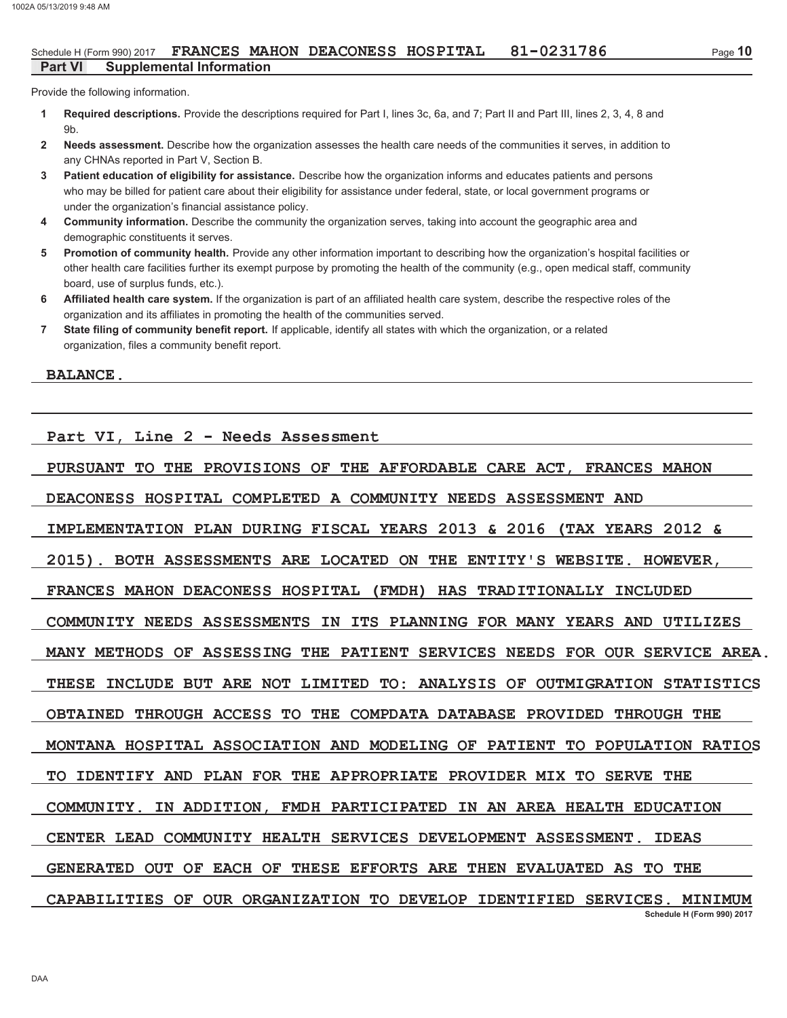Provide the following information.

- Required descriptions. Provide the descriptions required for Part I, lines 3c, 6a, and 7; Part II and Part III, lines 2, 3, 4, 8 and  $\blacktriangleleft$  $9<sub>b</sub>$
- Needs assessment. Describe how the organization assesses the health care needs of the communities it serves, in addition to  $\overline{2}$ any CHNAs reported in Part V. Section B.
- Patient education of eligibility for assistance. Describe how the organization informs and educates patients and persons  $\overline{3}$ who may be billed for patient care about their eligibility for assistance under federal, state, or local government programs or under the organization's financial assistance policy.
- Community information. Describe the community the organization serves, taking into account the geographic area and  $\overline{\mathbf{4}}$ demographic constituents it serves.
- Promotion of community health. Provide any other information important to describing how the organization's hospital facilities or 5 other health care facilities further its exempt purpose by promoting the health of the community (e.g., open medical staff, community board, use of surplus funds, etc.).
- Affiliated health care system. If the organization is part of an affiliated health care system, describe the respective roles of the 6 organization and its affiliates in promoting the health of the communities served.
- $\overline{7}$ State filing of community benefit report. If applicable, identify all states with which the organization, or a related organization, files a community benefit report.

**BALANCE.** 

Part VI, Line 2 - Needs Assessment

PURSUANT TO THE PROVISIONS OF THE AFFORDABLE CARE ACT, FRANCES MAHON

DEACONESS HOSPITAL COMPLETED A COMMUNITY NEEDS ASSESSMENT AND

IMPLEMENTATION PLAN DURING FISCAL YEARS 2013 & 2016 (TAX YEARS 2012 &

2015). BOTH ASSESSMENTS ARE LOCATED ON THE ENTITY'S WEBSITE. HOWEVER.

FRANCES MAHON DEACONESS HOSPITAL (FMDH) HAS TRADITIONALLY INCLUDED

COMMUNITY NEEDS ASSESSMENTS IN ITS PLANNING FOR MANY YEARS AND UTILIZES

MANY METHODS OF ASSESSING THE PATIENT SERVICES NEEDS FOR OUR SERVICE AREA.

THESE INCLUDE BUT ARE NOT LIMITED TO: ANALYSIS OF OUTMIGRATION STATISTICS

OBTAINED THROUGH ACCESS TO THE COMPDATA DATABASE PROVIDED THROUGH THE

MONTANA HOSPITAL ASSOCIATION AND MODELING OF PATIENT TO POPULATION RATIOS

TO IDENTIFY AND PLAN FOR THE APPROPRIATE PROVIDER MIX TO SERVE THE

COMMUNITY. IN ADDITION, FMDH PARTICIPATED IN AN AREA HEALTH EDUCATION

CENTER LEAD COMMUNITY HEALTH SERVICES DEVELOPMENT ASSESSMENT. IDEAS

GENERATED OUT OF EACH OF THESE EFFORTS ARE THEN EVALUATED AS TO THE

# CAPABILITIES OF OUR ORGANIZATION TO DEVELOP IDENTIFIED SERVICES. MINIMUM Schedule H (Form 990) 2017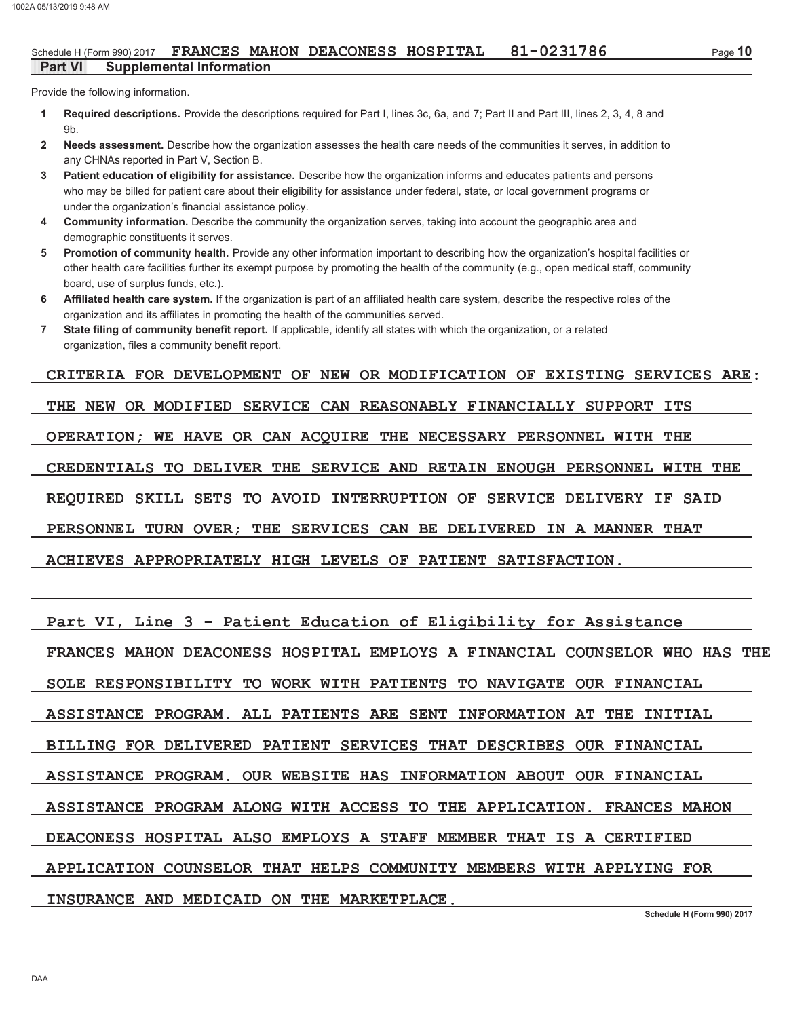#### 81-0231786 Schedule H (Form 990) 2017 FRANCES MAHON DEACONESS HOSPITAL **Part VI Supplemental Information**

Provide the following information.

- Required descriptions. Provide the descriptions required for Part I, lines 3c, 6a, and 7; Part II and Part III, lines 2, 3, 4, 8 and  $\blacktriangleleft$  $9<sub>b</sub>$
- Needs assessment. Describe how the organization assesses the health care needs of the communities it serves, in addition to  $\overline{2}$ any CHNAs reported in Part V. Section B.
- Patient education of eligibility for assistance. Describe how the organization informs and educates patients and persons  $\overline{3}$ who may be billed for patient care about their eligibility for assistance under federal, state, or local government programs or under the organization's financial assistance policy.
- Community information. Describe the community the organization serves, taking into account the geographic area and  $\overline{\mathbf{4}}$ demographic constituents it serves.
- Promotion of community health. Provide any other information important to describing how the organization's hospital facilities or 5. other health care facilities further its exempt purpose by promoting the health of the community (e.g., open medical staff, community board, use of surplus funds, etc.).
- Affiliated health care system. If the organization is part of an affiliated health care system, describe the respective roles of the 6 organization and its affiliates in promoting the health of the communities served.
- $\overline{7}$ State filing of community benefit report. If applicable, identify all states with which the organization, or a related organization, files a community benefit report.

### CRITERIA FOR DEVELOPMENT OF NEW OR MODIFICATION OF EXISTING SERVICES ARE:

THE NEW OR MODIFIED SERVICE CAN REASONABLY FINANCIALLY SUPPORT ITS

OPERATION; WE HAVE OR CAN ACQUIRE THE NECESSARY PERSONNEL WITH THE

CREDENTIALS TO DELIVER THE SERVICE AND RETAIN ENOUGH PERSONNEL WITH THE

REQUIRED SKILL SETS TO AVOID INTERRUPTION OF SERVICE DELIVERY IF SAID

PERSONNEL TURN OVER: THE SERVICES CAN BE DELIVERED IN A MANNER THAT

ACHIEVES APPROPRIATELY HIGH LEVELS OF PATIENT SATISFACTION.

|  |  |  |  |  | Part VI, Line 3 - Patient Education of Eligibility for Assistance |  |  |
|--|--|--|--|--|-------------------------------------------------------------------|--|--|
|--|--|--|--|--|-------------------------------------------------------------------|--|--|

FRANCES MAHON DEACONESS HOSPITAL EMPLOYS A FINANCIAL COUNSELOR WHO HAS THE

SOLE RESPONSIBILITY TO WORK WITH PATIENTS TO NAVIGATE OUR FINANCIAL

ASSISTANCE PROGRAM. ALL PATIENTS ARE SENT INFORMATION AT THE INITIAL

BILLING FOR DELIVERED PATIENT SERVICES THAT DESCRIBES OUR FINANCIAL

ASSISTANCE PROGRAM. OUR WEBSITE HAS INFORMATION ABOUT OUR FINANCIAL

ASSISTANCE PROGRAM ALONG WITH ACCESS TO THE APPLICATION. FRANCES MAHON

DEACONESS HOSPITAL ALSO EMPLOYS A STAFF MEMBER THAT IS A CERTIFIED

APPLICATION COUNSELOR THAT HELPS COMMUNITY MEMBERS WITH APPLYING FOR

### INSURANCE AND MEDICAID ON THE MARKETPLACE.

Schedule H (Form 990) 2017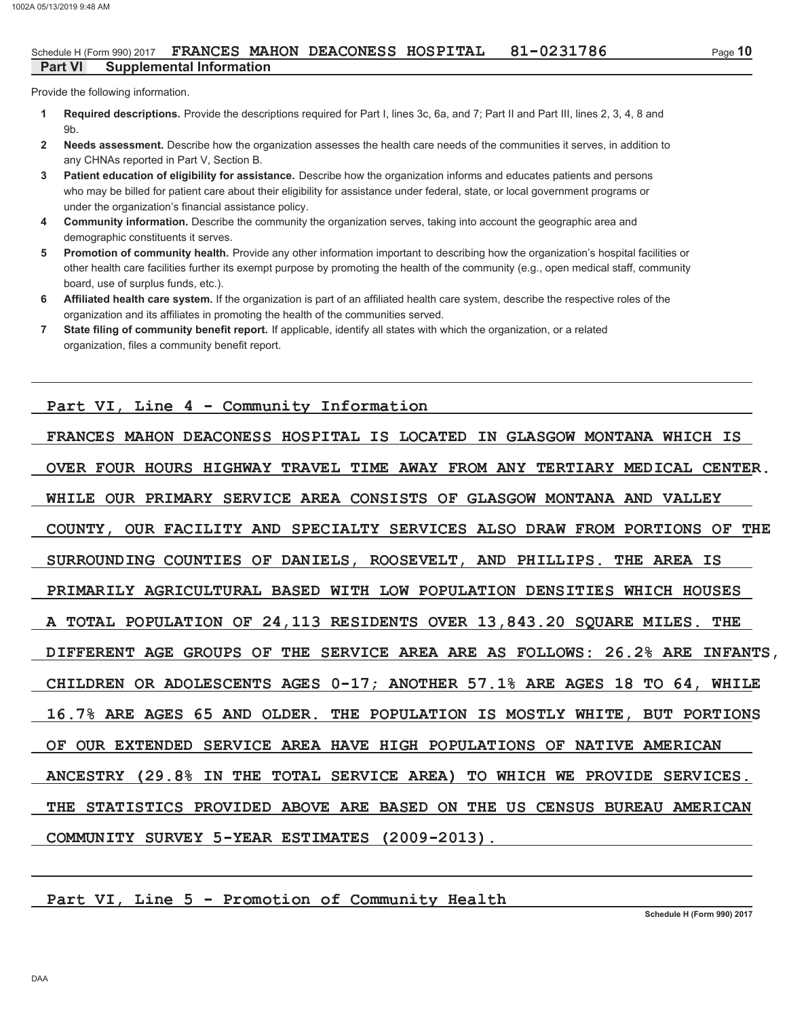Provide the following information.

- Required descriptions. Provide the descriptions required for Part I, lines 3c, 6a, and 7; Part II and Part III, lines 2, 3, 4, 8 and  $\blacktriangleleft$  $9<sub>b</sub>$
- Needs assessment. Describe how the organization assesses the health care needs of the communities it serves, in addition to  $\overline{2}$ any CHNAs reported in Part V, Section B.
- Patient education of eligibility for assistance. Describe how the organization informs and educates patients and persons  $\overline{3}$ who may be billed for patient care about their eligibility for assistance under federal, state, or local government programs or under the organization's financial assistance policy.
- Community information. Describe the community the organization serves, taking into account the geographic area and  $\overline{\mathbf{4}}$ demographic constituents it serves.
- Promotion of community health. Provide any other information important to describing how the organization's hospital facilities or 5 other health care facilities further its exempt purpose by promoting the health of the community (e.g., open medical staff, community board, use of surplus funds, etc.).
- Affiliated health care system. If the organization is part of an affiliated health care system, describe the respective roles of the 6 organization and its affiliates in promoting the health of the communities served.
- $\overline{7}$ State filing of community benefit report. If applicable, identify all states with which the organization, or a related organization, files a community benefit report.

Part VI, Line 4 - Community Information

FRANCES MAHON DEACONESS HOSPITAL IS LOCATED IN GLASGOW MONTANA WHICH IS OVER FOUR HOURS HIGHWAY TRAVEL TIME AWAY FROM ANY TERTIARY MEDICAL CENTER. WHILE OUR PRIMARY SERVICE AREA CONSISTS OF GLASGOW MONTANA AND VALLEY COUNTY, OUR FACILITY AND SPECIALTY SERVICES ALSO DRAW FROM PORTIONS OF THE SURROUNDING COUNTIES OF DANIELS, ROOSEVELT, AND PHILLIPS. THE AREA IS PRIMARILY AGRICULTURAL BASED WITH LOW POPULATION DENSITIES WHICH HOUSES A TOTAL POPULATION OF 24, 113 RESIDENTS OVER 13, 843.20 SQUARE MILES. THE DIFFERENT AGE GROUPS OF THE SERVICE AREA ARE AS FOLLOWS: 26.2% ARE INFANTS, CHILDREN OR ADOLESCENTS AGES 0-17; ANOTHER 57.1% ARE AGES 18 TO 64, WHILE 16.7% ARE AGES 65 AND OLDER. THE POPULATION IS MOSTLY WHITE, BUT PORTIONS OF OUR EXTENDED SERVICE AREA HAVE HIGH POPULATIONS OF NATIVE AMERICAN ANCESTRY (29.8% IN THE TOTAL SERVICE AREA) TO WHICH WE PROVIDE SERVICES. THE STATISTICS PROVIDED ABOVE ARE BASED ON THE US CENSUS BUREAU AMERICAN COMMUNITY SURVEY 5-YEAR ESTIMATES (2009-2013).

Part VI, Line 5 - Promotion of Community Health

Schedule H (Form 990) 2017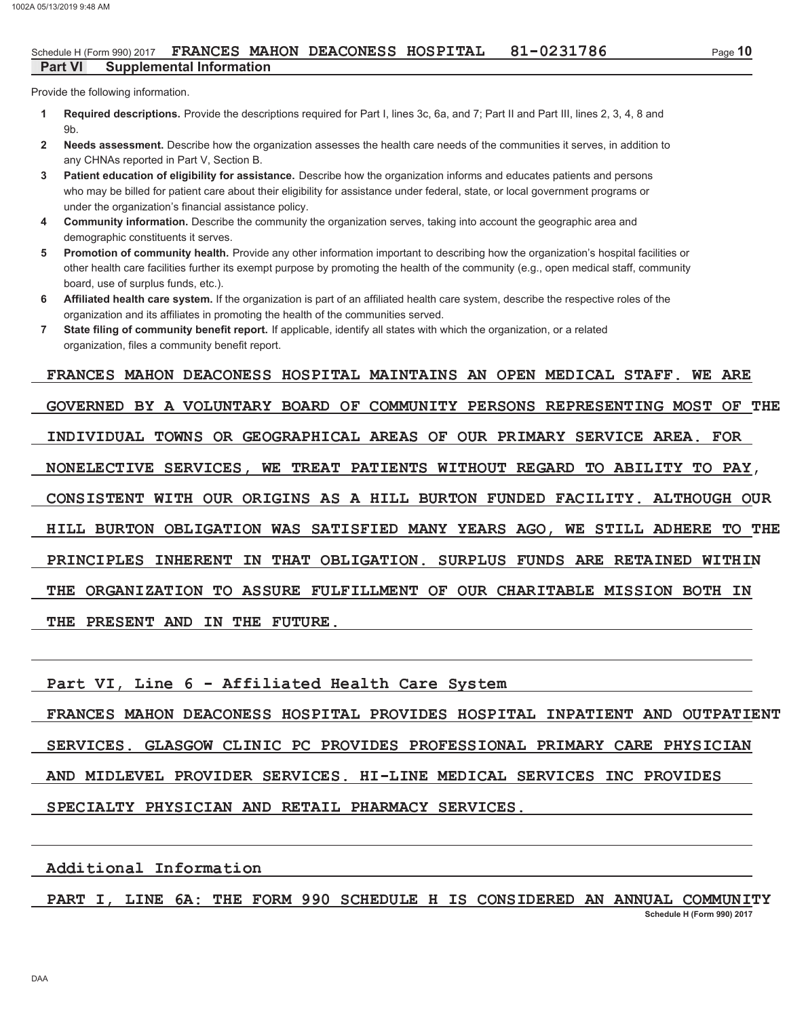#### 81-0231786 Schedule H (Form 990) 2017 FRANCES MAHON DEACONESS HOSPITAL **Part VI Supplemental Information**

Provide the following information.

- Required descriptions. Provide the descriptions required for Part I, lines 3c, 6a, and 7; Part II and Part III, lines 2, 3, 4, 8 and  $\blacktriangleleft$  $9<sub>b</sub>$
- Needs assessment. Describe how the organization assesses the health care needs of the communities it serves, in addition to  $\overline{2}$ any CHNAs reported in Part V. Section B.
- $\overline{3}$ Patient education of eligibility for assistance. Describe how the organization informs and educates patients and persons who may be billed for patient care about their eligibility for assistance under federal, state, or local government programs or under the organization's financial assistance policy.
- Community information. Describe the community the organization serves, taking into account the geographic area and  $\overline{4}$ demographic constituents it serves.
- Promotion of community health. Provide any other information important to describing how the organization's hospital facilities or 5 other health care facilities further its exempt purpose by promoting the health of the community (e.g., open medical staff, community board, use of surplus funds, etc.).
- Affiliated health care system. If the organization is part of an affiliated health care system, describe the respective roles of the 6 organization and its affiliates in promoting the health of the communities served.
- $\overline{7}$ State filing of community benefit report. If applicable, identify all states with which the organization, or a related organization, files a community benefit report.

FRANCES MAHON DEACONESS HOSPITAL MAINTAINS AN OPEN MEDICAL STAFF. WE ARE GOVERNED BY A VOLUNTARY BOARD OF COMMUNITY PERSONS REPRESENTING MOST OF THE INDIVIDUAL TOWNS OR GEOGRAPHICAL AREAS OF OUR PRIMARY SERVICE AREA. FOR NONELECTIVE SERVICES, WE TREAT PATIENTS WITHOUT REGARD TO ABILITY TO PAY, CONSISTENT WITH OUR ORIGINS AS A HILL BURTON FUNDED FACILITY. ALTHOUGH OUR HILL BURTON OBLIGATION WAS SATISFIED MANY YEARS AGO, WE STILL ADHERE TO THE PRINCIPLES INHERENT IN THAT OBLIGATION. SURPLUS FUNDS ARE RETAINED WITHIN THE ORGANIZATION TO ASSURE FULFILLMENT OF OUR CHARITABLE MISSION BOTH IN THE PRESENT AND IN THE FUTURE.

Part VI, Line 6 - Affiliated Health Care System

FRANCES MAHON DEACONESS HOSPITAL PROVIDES HOSPITAL INPATIENT AND OUTPATIENT SERVICES. GLASGOW CLINIC PC PROVIDES PROFESSIONAL PRIMARY CARE PHYSICIAN AND MIDLEVEL PROVIDER SERVICES. HI-LINE MEDICAL SERVICES INC PROVIDES SPECIALTY PHYSICIAN AND RETAIL PHARMACY SERVICES.

Additional Information

PART I, LINE 6A: THE FORM 990 SCHEDULE H IS CONSIDERED AN ANNUAL COMMUNITY

Schedule H (Form 990) 2017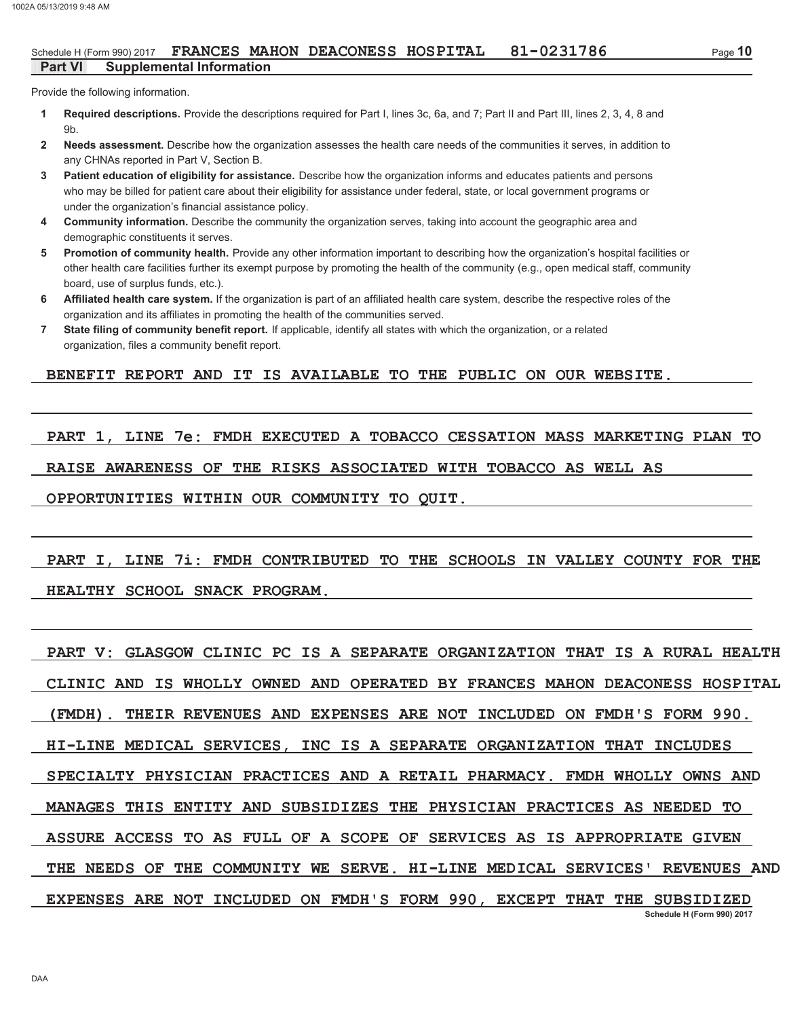#### 81-0231786 Schedule H (Form 990) 2017 FRANCES MAHON DEACONESS HOSPITAL **Supplemental Information Part VI**

Provide the following information.

- Required descriptions. Provide the descriptions required for Part I, lines 3c, 6a, and 7; Part II and Part III, lines 2, 3, 4, 8 and  $\blacktriangleleft$  $9<sub>b</sub>$
- Needs assessment. Describe how the organization assesses the health care needs of the communities it serves, in addition to  $\overline{2}$ any CHNAs reported in Part V. Section B.
- $\overline{3}$ Patient education of eligibility for assistance. Describe how the organization informs and educates patients and persons who may be billed for patient care about their eligibility for assistance under federal, state, or local government programs or under the organization's financial assistance policy.
- $\overline{\mathbf{4}}$ Community information. Describe the community the organization serves, taking into account the geographic area and demographic constituents it serves.
- Promotion of community health. Provide any other information important to describing how the organization's hospital facilities or 5. other health care facilities further its exempt purpose by promoting the health of the community (e.g., open medical staff, community board, use of surplus funds, etc.).
- Affiliated health care system. If the organization is part of an affiliated health care system, describe the respective roles of the 6 organization and its affiliates in promoting the health of the communities served.
- $\overline{7}$ State filing of community benefit report. If applicable, identify all states with which the organization, or a related organization, files a community benefit report.

### BENEFIT REPORT AND IT IS AVAILABLE TO THE PUBLIC ON OUR WEBSITE.

PART 1, LINE 7e: FMDH EXECUTED A TOBACCO CESSATION MASS MARKETING PLAN TO RAISE AWARENESS OF THE RISKS ASSOCIATED WITH TOBACCO AS WELL AS OPPORTUNITIES WITHIN OUR COMMUNITY TO QUIT.

# PART I, LINE 71: FMDH CONTRIBUTED TO THE SCHOOLS IN VALLEY COUNTY FOR THE

### HEALTHY SCHOOL SNACK PROGRAM.

PART V: GLASGOW CLINIC PC IS A SEPARATE ORGANIZATION THAT IS A RURAL HEALTH CLINIC AND IS WHOLLY OWNED AND OPERATED BY FRANCES MAHON DEACONESS HOSPITAL THEIR REVENUES AND EXPENSES ARE NOT INCLUDED ON FMDH'S FORM 990.  $(FMDH)$ . HI-LINE MEDICAL SERVICES, INC IS A SEPARATE ORGANIZATION THAT INCLUDES SPECIALTY PHYSICIAN PRACTICES AND A RETAIL PHARMACY. FMDH WHOLLY OWNS AND MANAGES THIS ENTITY AND SUBSIDIZES THE PHYSICIAN PRACTICES AS NEEDED TO ASSURE ACCESS TO AS FULL OF A SCOPE OF SERVICES AS IS APPROPRIATE GIVEN THE NEEDS OF THE COMMUNITY WE SERVE. HI-LINE MEDICAL SERVICES' REVENUES AND EXPENSES ARE NOT INCLUDED ON FMDH'S FORM 990, EXCEPT THAT THE SUBSIDIZED Schedule H (Form 990) 2017